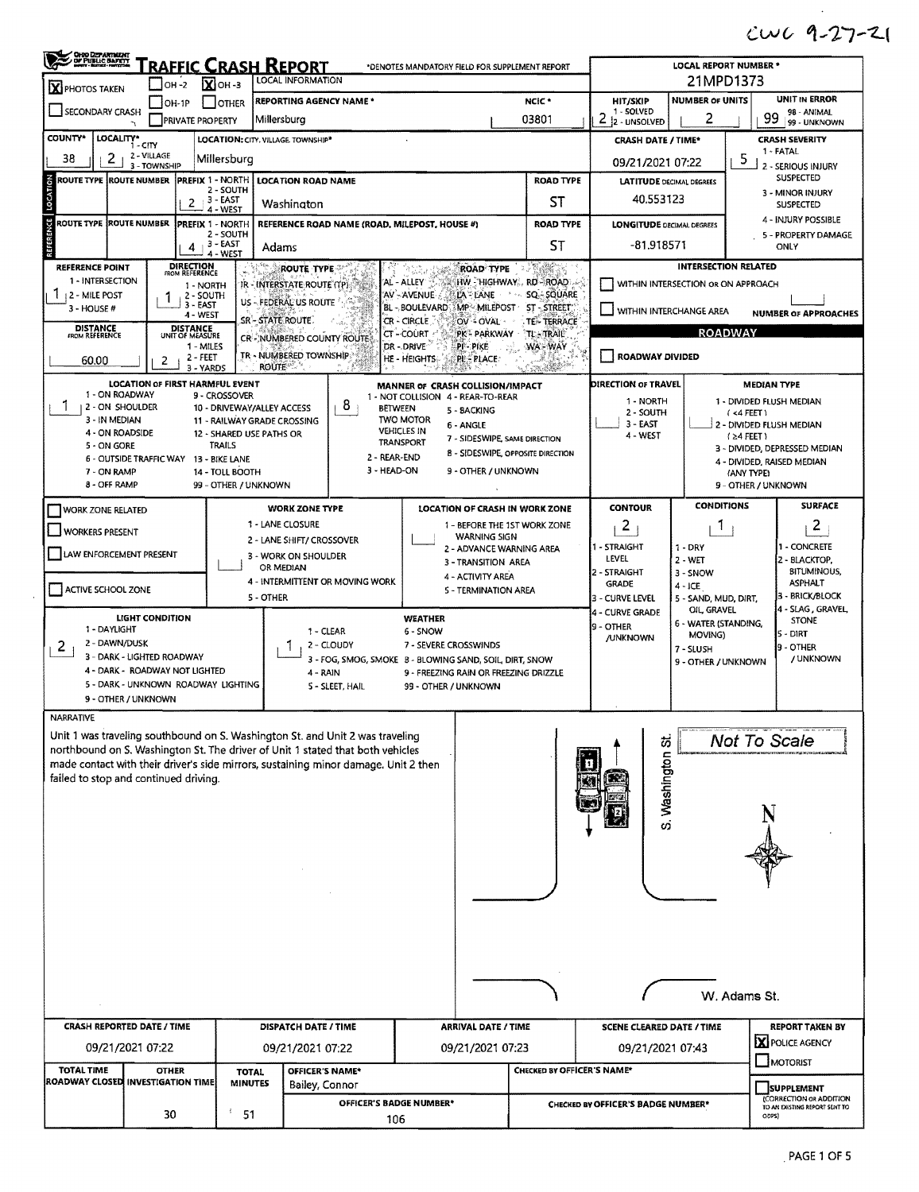## $CUC 9-27-21$

| X PHOTOS TAKEN                                                               | OH -2                                                                                                                                                           | $X$ OH -3                                                                                                                                                                                                                                                                                                                                                                                                                            | <u>RAFFIC CRASH REPORT</u><br>LOCAL INFORMATION |                         |                                                                                                  |                                                      | 21MPD1373                          |                                     |                                           |                                                             |  |  |
|------------------------------------------------------------------------------|-----------------------------------------------------------------------------------------------------------------------------------------------------------------|--------------------------------------------------------------------------------------------------------------------------------------------------------------------------------------------------------------------------------------------------------------------------------------------------------------------------------------------------------------------------------------------------------------------------------------|-------------------------------------------------|-------------------------|--------------------------------------------------------------------------------------------------|------------------------------------------------------|------------------------------------|-------------------------------------|-------------------------------------------|-------------------------------------------------------------|--|--|
|                                                                              | $IOH-1P$                                                                                                                                                        | <b>OTHER</b>                                                                                                                                                                                                                                                                                                                                                                                                                         | <b>REPORTING AGENCY NAME *</b>                  |                         |                                                                                                  | NCIC <sup>*</sup>                                    | HIT/SKIP                           | <b>NUMBER OF UNITS</b>              |                                           | UNIT IN ERROR                                               |  |  |
| SECONDARY CRASH                                                              | <b>PRIVATE PROPERTY</b>                                                                                                                                         |                                                                                                                                                                                                                                                                                                                                                                                                                                      | Millersburg                                     |                         |                                                                                                  | 03801                                                | 1 - SOLVED<br>2<br>2 - UNSOLVED    | 2                                   | 99                                        | 98 - ANIMAL<br>99 - UNKNOWN                                 |  |  |
| <b>COUNTY*</b><br>LOCALITY*                                                  | 1 - CITY                                                                                                                                                        |                                                                                                                                                                                                                                                                                                                                                                                                                                      | LOCATION: CITY. VILLAGE. TOWNSHIP*              |                         |                                                                                                  |                                                      | <b>CRASH DATE / TIME*</b>          |                                     |                                           | <b>CRASH SEVERITY</b>                                       |  |  |
| 38<br>2                                                                      | 2 - VILLAGE                                                                                                                                                     | Millersburg                                                                                                                                                                                                                                                                                                                                                                                                                          |                                                 |                         |                                                                                                  |                                                      | 09/21/2021 07:22                   | 5                                   | 1 - FATAL                                 |                                                             |  |  |
| ROUTE TYPE ROUTE NUMBER                                                      | 3 - TOWNSHIP                                                                                                                                                    | <b>PREFIX 1 - NORTH I</b>                                                                                                                                                                                                                                                                                                                                                                                                            | <b>LOCATION ROAD NAME</b>                       |                         |                                                                                                  | <b>ROAD TYPE</b>                                     | <b>LATITUDE DECIMAL DEGREES</b>    |                                     |                                           | 2 - SERIOUS INJURY<br><b>SUSPECTED</b>                      |  |  |
|                                                                              |                                                                                                                                                                 | 2 - SOUTH<br>$-3 - EAST$                                                                                                                                                                                                                                                                                                                                                                                                             |                                                 |                         |                                                                                                  | SТ                                                   | 40.553123                          |                                     |                                           | 3 - MINOR INJURY                                            |  |  |
|                                                                              | 2                                                                                                                                                               | 4 - WEST                                                                                                                                                                                                                                                                                                                                                                                                                             | Washington                                      |                         |                                                                                                  |                                                      |                                    |                                     |                                           | <b>SUSPECTED</b><br>4 - INJURY POSSIBLE                     |  |  |
| ROUTE TYPE ROUTE NUMBER                                                      |                                                                                                                                                                 | PREFIX 1 - NORTH<br>2 - SOUTH                                                                                                                                                                                                                                                                                                                                                                                                        |                                                 |                         | REFERENCE ROAD NAME (ROAD, MILEPOST, HOUSE #)                                                    | <b>ROAD TYPE</b>                                     | <b>LONGITUDE DECIMAL DEGREES</b>   |                                     |                                           | 5 - PROPERTY DAMAGE                                         |  |  |
|                                                                              | 4                                                                                                                                                               | 3 - EAST<br>4 - WEST                                                                                                                                                                                                                                                                                                                                                                                                                 | Adams                                           |                         |                                                                                                  | <b>ST</b>                                            | -81.918571                         |                                     |                                           | ONLY                                                        |  |  |
| <b>REFERENCE POINT</b>                                                       | <b>DIRECTION</b><br>FROM REFERENCE                                                                                                                              | $\frac{1}{2} \left( \frac{1}{2} \right)^{1/2} \sum_{i=1}^{N} \frac{1}{2} \left( \frac{1}{2} \right)^{i} \left( \frac{1}{2} \right)^{i} \left( \frac{1}{2} \right)^{i} \left( \frac{1}{2} \right)^{i} \left( \frac{1}{2} \right)^{i} \left( \frac{1}{2} \right)^{i} \left( \frac{1}{2} \right)^{i} \left( \frac{1}{2} \right)^{i} \left( \frac{1}{2} \right)^{i} \left( \frac{1}{2} \right)^{i} \left( \frac{1}{2} \right)^{i} \left$ | ROUTE TYPE                                      |                         | ROAD TYPE                                                                                        | 3. 3 6 2 2 3 2 3 2                                   |                                    | <b>INTERSECTION RELATED</b>         |                                           |                                                             |  |  |
| 1 - INTERSECTION<br><b>12 - MILE POST</b>                                    | 2 - SOUTH                                                                                                                                                       | 1 - NORTH                                                                                                                                                                                                                                                                                                                                                                                                                            | IR - INTERSTATE ROUTE (TP)                      |                         | AL - ALLEY<br>HW HIGHWAY, RD-ROAD<br>AV - AVENUE<br>LA LANE<br>$\sigma \sim_{\rm xy}$            | SQ - SQUARE                                          |                                    | WITHIN INTERSECTION OR ON APPROACH  |                                           |                                                             |  |  |
| 3 - HOUSE #                                                                  | 1<br>3 - EAST                                                                                                                                                   |                                                                                                                                                                                                                                                                                                                                                                                                                                      | US - FEDERAL US ROUTE                           |                         | BL - BOULEVARD MP - MILEPOST                                                                     | ST-STREET:                                           | WITHIN INTERCHANGE AREA            |                                     |                                           | <b>NUMBER OF APPROACHES</b>                                 |  |  |
| <b>DISTANCE</b>                                                              | 4 - WEST<br><b>DISTANCE</b>                                                                                                                                     |                                                                                                                                                                                                                                                                                                                                                                                                                                      | SR - STATE ROUTE                                |                         | CR - CIRCLE<br>OV - OVAL -                                                                       | TE-TERRACE                                           |                                    | <b>ROADWAY</b>                      |                                           |                                                             |  |  |
| FROM REFERENCE                                                               | UNIT OF MEASURE<br>1 - MILES                                                                                                                                    |                                                                                                                                                                                                                                                                                                                                                                                                                                      | CR-NUMBERED COUNTY ROUTE                        |                         | CT - COURT<br>PK - PARKWAY<br>DR-DRIVE<br>pi - pike                                              | TL TRAIL<br><b>WA-WAY</b>                            |                                    |                                     |                                           |                                                             |  |  |
| 60.00                                                                        | 2 - FEET<br>2                                                                                                                                                   | 3 - YARDS                                                                                                                                                                                                                                                                                                                                                                                                                            | TR - NUMBERED TOWNSHIP<br><b>ROUTE</b>          |                         | HE - HEIGHTS<br><b>PL-PLACE</b>                                                                  |                                                      | <b>ROADWAY DIVIDED</b>             |                                     |                                           |                                                             |  |  |
|                                                                              | LOCATION OF FIRST HARMFUL EVENT                                                                                                                                 |                                                                                                                                                                                                                                                                                                                                                                                                                                      |                                                 |                         | MANNER OF CRASH COLLISION/IMPACT                                                                 |                                                      | DIRECTION OF TRAVEL                |                                     | <b>MEDIAN TYPE</b>                        |                                                             |  |  |
| 1 - ON ROADWAY<br>1.<br>2 - ON SHOULDER                                      |                                                                                                                                                                 | 9 - CROSSOVER                                                                                                                                                                                                                                                                                                                                                                                                                        |                                                 | 8                       | 1 - NOT COLLISION 4 - REAR-TO-REAR                                                               |                                                      | 1 - NORTH                          |                                     |                                           | 1 - DIVIDED FLUSH MEDIAN                                    |  |  |
| 3 - IN MEDIAN                                                                |                                                                                                                                                                 | 10 - DRIVEWAY/ALLEY ACCESS                                                                                                                                                                                                                                                                                                                                                                                                           | 11 - RAILWAY GRADE CROSSING                     | <b>BETWEEN</b>          | 5 - BACKING<br><b>TWO MOTOR</b><br>6 - ANGLE                                                     |                                                      | 2 - SOUTH<br>$3 - EAST$            |                                     | (4 FEET)                                  | 2 - DIVIDED FLUSH MEDIAN                                    |  |  |
| 4 ON ROADSIDE                                                                |                                                                                                                                                                 | 12 - SHARED USE PATHS OR                                                                                                                                                                                                                                                                                                                                                                                                             |                                                 |                         | VEHICLES IN<br>7 - SIDESWIPE, SAME DIRECTION<br><b>TRANSPORT</b>                                 |                                                      | 4 - WEST                           |                                     | $(24$ FEET)                               |                                                             |  |  |
| 5 - ON GORE                                                                  | <b>6 - OUTSIDE TRAFFIC WAY</b>                                                                                                                                  | TRAILS<br>13 - BIKE LANE                                                                                                                                                                                                                                                                                                                                                                                                             |                                                 | 2 - REAR-END            | 8 - SIDESWIPE, OPPOSITE DIRECTION                                                                |                                                      |                                    |                                     |                                           | 3 - DIVIDED, DEPRESSED MEDIAN<br>4 - DIVIDED, RAISED MEDIAN |  |  |
| 7 - ON RAMP                                                                  |                                                                                                                                                                 | 14 - TOLL BOOTH                                                                                                                                                                                                                                                                                                                                                                                                                      |                                                 | 3 - HEAD-ON             | 9 - OTHER / UNKNOWN                                                                              |                                                      |                                    |                                     | (ANY TYPE)                                |                                                             |  |  |
| 8 - OFF RAMP                                                                 |                                                                                                                                                                 | 99 - OTHER / UNKNOWN                                                                                                                                                                                                                                                                                                                                                                                                                 |                                                 |                         |                                                                                                  |                                                      |                                    |                                     | 9 - OTHER / UNKNOWN                       |                                                             |  |  |
| <b>WORK ZONE RELATED</b>                                                     |                                                                                                                                                                 |                                                                                                                                                                                                                                                                                                                                                                                                                                      | <b>WORK ZONE TYPE</b>                           |                         | LOCATION OF CRASH IN WORK ZONE                                                                   |                                                      | <b>CONTOUR</b>                     | <b>CONDITIONS</b>                   |                                           | <b>SURFACE</b>                                              |  |  |
| <b>WORKERS PRESENT</b>                                                       |                                                                                                                                                                 |                                                                                                                                                                                                                                                                                                                                                                                                                                      | 1 - LANE CLOSURE                                |                         | 1 - BEFORE THE 1ST WORK ZONE<br><b>WARNING SIGN</b>                                              |                                                      | 2                                  | Т.                                  |                                           | 2                                                           |  |  |
| 2 - LANE SHIFT/ CROSSOVER<br>LAW ENFORCEMENT PRESENT<br>3 - WORK ON SHOULDER |                                                                                                                                                                 |                                                                                                                                                                                                                                                                                                                                                                                                                                      |                                                 |                         | 2 - ADVANCE WARNING AREA                                                                         |                                                      | 1 - STRAIGHT<br>LEVEL              | $1 - DRY$                           |                                           | 1 - CONCRETE                                                |  |  |
|                                                                              |                                                                                                                                                                 |                                                                                                                                                                                                                                                                                                                                                                                                                                      | OR MEDIAN                                       |                         | 3 - TRANSITION AREA<br>4 - ACTIVITY AREA                                                         | 2 - STRAIGHT                                         | $2 - WET$<br>3 - SNOW              | 2 - BLACKTOP.                       | <b>BITUMINOUS,</b>                        |                                                             |  |  |
| ACTIVE SCHOOL ZONE                                                           |                                                                                                                                                                 |                                                                                                                                                                                                                                                                                                                                                                                                                                      | 4 - INTERMITTENT OR MOVING WORK                 |                         | 5 - TERMINATION AREA                                                                             |                                                      | <b>GRADE</b>                       | $4 - ICE$                           |                                           | <b>ASPHALT</b><br>3 - BRICK/BLOCK                           |  |  |
|                                                                              |                                                                                                                                                                 |                                                                                                                                                                                                                                                                                                                                                                                                                                      | 5 - OTHER                                       |                         |                                                                                                  |                                                      | 3 - CURVE LEVEL<br>4 - CURVE GRADE | 5 - SAND, MUD, DIRT,<br>OIL, GRAVEL |                                           | 4 - SLAG, GRAVEL,                                           |  |  |
| 1 - DAYLIGHT                                                                 | <b>LIGHT CONDITION</b>                                                                                                                                          |                                                                                                                                                                                                                                                                                                                                                                                                                                      | 1 - CLEAR                                       |                         | <b>WEATHER</b><br>6 - SNOW                                                                       |                                                      | 9 - OTHER                          | 6 - WATER (STANDING,<br>MOVING)     |                                           | <b>STONE</b><br>$5 - DIRT$                                  |  |  |
| 2 - DAWN/DUSK<br>2                                                           |                                                                                                                                                                 |                                                                                                                                                                                                                                                                                                                                                                                                                                      |                                                 | 2 - CLOUDY              | 7 - SEVERE CROSSWINDS                                                                            | /UNKNOWN                                             | 7 - SLUSH                          | 9 - OTHER                           |                                           |                                                             |  |  |
|                                                                              | 3 - DARK - LIGHTED ROADWAY<br>4 - DARK - ROADWAY NOT LIGHTED                                                                                                    |                                                                                                                                                                                                                                                                                                                                                                                                                                      | 4 - RAIN                                        |                         | 3 - FOG, SMOG, SMOKE B - BLOWING SAND, SOIL, DIRT, SNOW<br>9 - FREEZING RAIN OR FREEZING DRIZZLE |                                                      |                                    | 9 - OTHER / UNKNOWN                 |                                           | / UNKNOWN                                                   |  |  |
|                                                                              | 5 - DARK - UNKNOWN ROADWAY LIGHTING                                                                                                                             |                                                                                                                                                                                                                                                                                                                                                                                                                                      |                                                 | 5 - SLEET, HAIL         | 99 - OTHER / UNKNOWN                                                                             |                                                      |                                    |                                     |                                           |                                                             |  |  |
|                                                                              | 9 - OTHER / UNKNOWN                                                                                                                                             |                                                                                                                                                                                                                                                                                                                                                                                                                                      |                                                 |                         |                                                                                                  |                                                      |                                    |                                     |                                           |                                                             |  |  |
| <b>NARRATIVE</b>                                                             |                                                                                                                                                                 |                                                                                                                                                                                                                                                                                                                                                                                                                                      |                                                 |                         |                                                                                                  |                                                      |                                    |                                     |                                           |                                                             |  |  |
|                                                                              | Unit 1 was traveling southbound on S. Washington St. and Unit 2 was traveling<br>northbound on S. Washington St. The driver of Unit 1 stated that both vehicles |                                                                                                                                                                                                                                                                                                                                                                                                                                      |                                                 |                         |                                                                                                  |                                                      | 芴                                  |                                     | Not To Scale                              |                                                             |  |  |
|                                                                              | made contact with their driver's side mirrors, sustaining minor damage. Unit 2 then                                                                             |                                                                                                                                                                                                                                                                                                                                                                                                                                      |                                                 |                         |                                                                                                  |                                                      |                                    |                                     |                                           |                                                             |  |  |
|                                                                              | failed to stop and continued driving.                                                                                                                           |                                                                                                                                                                                                                                                                                                                                                                                                                                      |                                                 |                         |                                                                                                  |                                                      | S. Washington                      |                                     |                                           |                                                             |  |  |
|                                                                              |                                                                                                                                                                 |                                                                                                                                                                                                                                                                                                                                                                                                                                      |                                                 |                         |                                                                                                  |                                                      |                                    |                                     |                                           |                                                             |  |  |
|                                                                              |                                                                                                                                                                 |                                                                                                                                                                                                                                                                                                                                                                                                                                      |                                                 |                         |                                                                                                  |                                                      |                                    |                                     |                                           |                                                             |  |  |
|                                                                              |                                                                                                                                                                 |                                                                                                                                                                                                                                                                                                                                                                                                                                      |                                                 |                         |                                                                                                  |                                                      |                                    |                                     |                                           |                                                             |  |  |
|                                                                              |                                                                                                                                                                 |                                                                                                                                                                                                                                                                                                                                                                                                                                      |                                                 |                         |                                                                                                  |                                                      |                                    |                                     |                                           |                                                             |  |  |
|                                                                              |                                                                                                                                                                 |                                                                                                                                                                                                                                                                                                                                                                                                                                      |                                                 |                         |                                                                                                  |                                                      |                                    |                                     |                                           |                                                             |  |  |
|                                                                              |                                                                                                                                                                 |                                                                                                                                                                                                                                                                                                                                                                                                                                      |                                                 |                         |                                                                                                  |                                                      |                                    |                                     |                                           |                                                             |  |  |
|                                                                              |                                                                                                                                                                 |                                                                                                                                                                                                                                                                                                                                                                                                                                      |                                                 |                         |                                                                                                  |                                                      |                                    |                                     |                                           |                                                             |  |  |
|                                                                              |                                                                                                                                                                 |                                                                                                                                                                                                                                                                                                                                                                                                                                      |                                                 |                         |                                                                                                  |                                                      |                                    |                                     |                                           |                                                             |  |  |
|                                                                              |                                                                                                                                                                 |                                                                                                                                                                                                                                                                                                                                                                                                                                      |                                                 |                         |                                                                                                  |                                                      |                                    |                                     |                                           |                                                             |  |  |
|                                                                              |                                                                                                                                                                 |                                                                                                                                                                                                                                                                                                                                                                                                                                      |                                                 |                         |                                                                                                  |                                                      |                                    |                                     |                                           |                                                             |  |  |
|                                                                              |                                                                                                                                                                 |                                                                                                                                                                                                                                                                                                                                                                                                                                      |                                                 |                         |                                                                                                  |                                                      |                                    |                                     | W. Adams St.                              |                                                             |  |  |
|                                                                              | <b>CRASH REPORTED DATE / TIME</b>                                                                                                                               |                                                                                                                                                                                                                                                                                                                                                                                                                                      | DISPATCH DATE / TIME                            |                         | <b>ARRIVAL DATE / TIME</b>                                                                       |                                                      |                                    |                                     |                                           |                                                             |  |  |
|                                                                              | 09/21/2021 07:22                                                                                                                                                |                                                                                                                                                                                                                                                                                                                                                                                                                                      |                                                 |                         |                                                                                                  | <b>SCENE CLEARED DATE / TIME</b><br>09/21/2021 07:43 |                                    |                                     | <b>REPORT TAKEN BY</b><br>X POLICE AGENCY |                                                             |  |  |
|                                                                              |                                                                                                                                                                 |                                                                                                                                                                                                                                                                                                                                                                                                                                      | 09/21/2021 07:22                                |                         | 09/21/2021 07:23                                                                                 |                                                      |                                    |                                     |                                           | <b>JMOTORIST</b>                                            |  |  |
| <b>TOTAL TIME</b>                                                            | <b>OTHER</b><br>ROADWAY CLOSED INVESTIGATION TIME                                                                                                               | <b>TOTAL</b><br><b>MINUTES</b>                                                                                                                                                                                                                                                                                                                                                                                                       | <b>OFFICER'S NAME*</b><br>Bailey, Connor        |                         |                                                                                                  | CHECKED BY OFFICER'S NAME*                           |                                    |                                     |                                           |                                                             |  |  |
|                                                                              |                                                                                                                                                                 |                                                                                                                                                                                                                                                                                                                                                                                                                                      |                                                 | OFFICER'S BADGE NUMBER* |                                                                                                  |                                                      | CHECKED BY OFFICER'S BADGE NUMBER* |                                     |                                           | <b>SUPPLEMENT</b><br>(CORRECTION OR ADDITION                |  |  |
|                                                                              |                                                                                                                                                                 | 51                                                                                                                                                                                                                                                                                                                                                                                                                                   |                                                 |                         |                                                                                                  |                                                      |                                    |                                     |                                           | TO AN EXISTING REPORT SENT TO                               |  |  |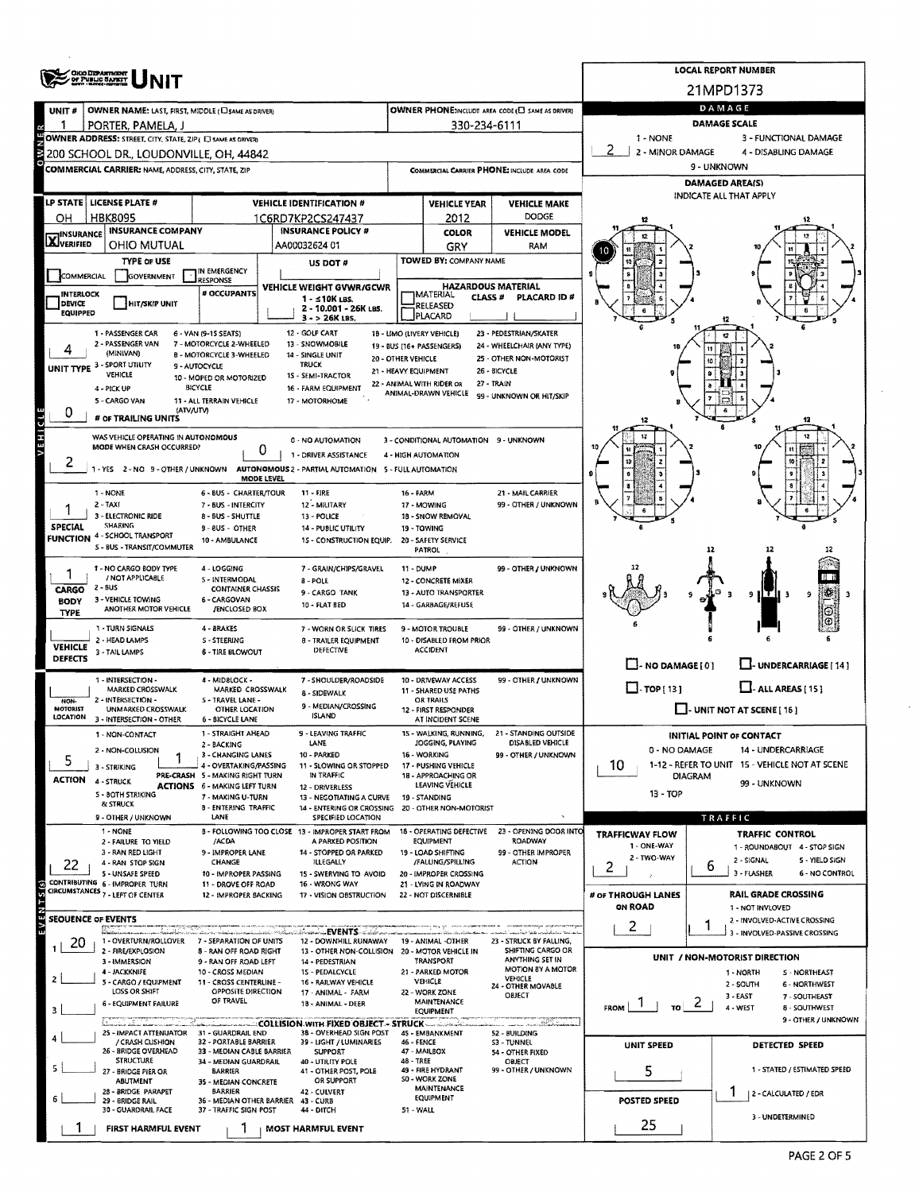|                                  | <b>ORO DEPARTMENT</b><br>OF PUBLIC SAFET                     |                                                                        | <b>LOCAL REPORT NUMBER</b>                                                               |                                                         |                                                   |                                                      |                                                      |                                                                    |  |  |  |  |
|----------------------------------|--------------------------------------------------------------|------------------------------------------------------------------------|------------------------------------------------------------------------------------------|---------------------------------------------------------|---------------------------------------------------|------------------------------------------------------|------------------------------------------------------|--------------------------------------------------------------------|--|--|--|--|
|                                  |                                                              |                                                                        |                                                                                          |                                                         |                                                   |                                                      |                                                      | 21MPD1373                                                          |  |  |  |  |
| UNIT#                            | OWNER NAME: LAST, FIRST, MIDDLE (C) SAME AS DRIVER)          |                                                                        |                                                                                          |                                                         |                                                   | OWNER PHONE:INCLUDE AREA CODE (E) SAME AS DRIVERY    | DAMAGE                                               |                                                                    |  |  |  |  |
|                                  | PORTER, PAMELA, J                                            |                                                                        |                                                                                          |                                                         | 330-234-6111                                      |                                                      | <b>DAMAGE SCALE</b>                                  |                                                                    |  |  |  |  |
|                                  | OWNER ADDRESS: STREET, CITY, STATE, ZIP ( E) SAME AS ORIVER) |                                                                        |                                                                                          |                                                         |                                                   |                                                      | 1 - NONE                                             | 3 - FUNCTIONAL DAMAGE                                              |  |  |  |  |
|                                  | 200 SCHOOL DR., LOUDONVILLE, OH, 44842                       |                                                                        |                                                                                          |                                                         |                                                   |                                                      | 2 - MINOR DAMAGE<br>4 - DISABLING DAMAGE             |                                                                    |  |  |  |  |
|                                  | <b>COMMERCIAL CARRIER: NAME, ADDRESS, CITY, STATE, ZIP</b>   |                                                                        |                                                                                          |                                                         |                                                   | COMMERCIAL CARRIER PHONE: INCLUDE AREA CODE          | 9 - UNKNOWN                                          |                                                                    |  |  |  |  |
|                                  |                                                              |                                                                        |                                                                                          |                                                         |                                                   |                                                      |                                                      | <b>DAMAGED AREA(S)</b><br>INDICATE ALL THAT APPLY                  |  |  |  |  |
|                                  | LP STATE   LICENSE PLATE #                                   |                                                                        | <b>VEHICLE IDENTIFICATION #</b>                                                          |                                                         | <b>VEHICLE YEAR</b>                               | <b>VEHICLE MAKE</b>                                  |                                                      |                                                                    |  |  |  |  |
| OН                               | <b>HBK8095</b>                                               |                                                                        | 1C6RD7KP2CS247437<br><b>INSURANCE POLICY #</b>                                           |                                                         | 2012                                              | <b>DODGE</b>                                         |                                                      |                                                                    |  |  |  |  |
| <b>X</b> INSURANCE               | <b>INSURANCE COMPANY</b><br>OHIO MUTUAL                      |                                                                        | AA00032624 01                                                                            |                                                         | <b>COLOR</b><br>GRY                               | <b>VEHICLE MODEL</b><br>RAM                          |                                                      |                                                                    |  |  |  |  |
|                                  | <b>TYPE OF USE</b>                                           |                                                                        | US DOT#                                                                                  |                                                         | TOWED BY: COMPANY NAME                            |                                                      |                                                      |                                                                    |  |  |  |  |
| COMMERCIAL                       | <b>GOVERNMENT</b>                                            | IN EMERGENCY<br><b>RESPONSE</b>                                        |                                                                                          |                                                         |                                                   |                                                      |                                                      |                                                                    |  |  |  |  |
| <b>INTERLOCK</b>                 |                                                              | # OCCUPANTS                                                            | VEHICLE WEIGHT GVWR/GCWR                                                                 |                                                         | <b>HAZARDOUS MATERIAL</b><br>IMATERIAL<br>CLASS # | PLACARD ID#                                          |                                                      |                                                                    |  |  |  |  |
| DEVICE<br><b>EQUIPPED</b>        | HIT/SKIP UNIT                                                |                                                                        | 1 - ≤10K LBS.<br>2 - 10.001 - 26K LBS.                                                   |                                                         | RELEASED                                          |                                                      |                                                      |                                                                    |  |  |  |  |
|                                  |                                                              |                                                                        | $3 - 26K$ LBS.                                                                           |                                                         | PLACARD                                           |                                                      |                                                      |                                                                    |  |  |  |  |
|                                  | 1 - PASSENGER CAR<br>2 - PASSENGER VAN                       | 6 - VAN (9-1S SEATS)<br>7 - MOTORCYCLE 2-WHEELED                       | 12 - GOLF CART<br>13 - SNOWMOBILE                                                        | 18 - LIMO (LIVERY VEHICLE)<br>19 - BUS (16+ PASSENGERS) |                                                   | 23 - PEDESTRIAN/SKATER<br>24 - WHEELCHAIR (ANY TYPE) |                                                      |                                                                    |  |  |  |  |
|                                  | (MINIVAN)                                                    | 8 - MOTORCYCLE 3-WHEELED                                               | 14 - SINGLE UNIT                                                                         | 20 - OTHER VEHICLE                                      |                                                   | 25 - OTHER NON-MOTORIST                              |                                                      |                                                                    |  |  |  |  |
|                                  | UNIT TYPE 3 - SPORT UTILITY<br>VEHICLE                       | 9 - AUTOCYCLE<br>10 - MOPED OR MOTORIZED                               | <b>TRUCK</b><br>15 - SEMI-TRACTOR                                                        | 21 - HEAVY EQUIPMENT                                    |                                                   | 26 - BICYCLE                                         |                                                      |                                                                    |  |  |  |  |
|                                  | 4 - PICK UP                                                  | <b>BICYCLE</b>                                                         | 16 - FARM EQUIPMENT                                                                      | 22 - ANIMAL WITH RIDER OR                               | ANIMAL-DRAWN VEHICLE                              | 27 - TRAIN<br>99 - UNKNOWN OR HIT/SKIP               |                                                      |                                                                    |  |  |  |  |
| 0                                | 5 - CARGO VAN<br>(ATV/UTV)                                   | 11 - ALL TERRAIN VEHICLE                                               | 17 - MOTORHOME                                                                           |                                                         |                                                   |                                                      |                                                      |                                                                    |  |  |  |  |
|                                  | # OF TRAILING UNITS                                          |                                                                        |                                                                                          |                                                         |                                                   |                                                      |                                                      |                                                                    |  |  |  |  |
| <b>VEHICLE</b>                   | WAS VEHICLE OPERATING IN AUTONOMOUS                          |                                                                        | 0 - NO AUTOMATION                                                                        |                                                         | 3 - CONDITIONAL AUTOMATION 9 - UNKNOWN            |                                                      |                                                      |                                                                    |  |  |  |  |
|                                  | <b>MODE WHEN CRASH OCCURRED?</b>                             |                                                                        | 0<br>1 - DRIVER ASSISTANCE                                                               | 4 - HIGH AUTOMATION                                     |                                                   |                                                      |                                                      |                                                                    |  |  |  |  |
| ۷                                |                                                              |                                                                        | 1 - YES 2 - NO 9 - OTHER / UNKNOWN AUTONOMOUS 2 - PARTIAL AUTOMATION 5 - FULL AUTOMATION |                                                         |                                                   |                                                      |                                                      |                                                                    |  |  |  |  |
|                                  | 1 - NONE                                                     | 6 - BUS - CHARTER/TOUR                                                 | MODE LEVEL<br>$11 - FIRE$                                                                | <b>16 - FARM</b>                                        |                                                   | 21 - MAIL CARRIER                                    |                                                      |                                                                    |  |  |  |  |
|                                  | 2 - TAXI                                                     | 7 - BUS - INTERCITY                                                    | 12 - MILITARY                                                                            |                                                         | 17 - MOWING                                       | 99 - OTHER / UNKNOWN                                 |                                                      |                                                                    |  |  |  |  |
|                                  | 3 - ELECTRONIC RIDE<br><b>SHARING</b>                        | 8 - BUS - SHUTTLE                                                      | 13 - POLICE                                                                              |                                                         | 18 - SNOW REMOVAL                                 |                                                      |                                                      |                                                                    |  |  |  |  |
| <b>SPECIAL</b>                   | <b>FUNCTION 4 - SCHOOL TRANSPORT</b>                         | 9 - 8US - OTHER<br>10 - AMBULANCE                                      | 14 - PUBLIC UTILITY<br>1S - CONSTRUCTION EQUIP.                                          |                                                         | 19 - TOWING<br>20 - SAFETY SERVICE                |                                                      |                                                      |                                                                    |  |  |  |  |
|                                  | S - BUS - TRANSIT/COMMUTER                                   |                                                                        |                                                                                          |                                                         | PATROL                                            |                                                      |                                                      | 12<br>12                                                           |  |  |  |  |
|                                  | 1 - NO CARGO BODY TYPE                                       | 4 - LOGGING                                                            | 7 - GRAIN/CHIPS/GRAVEL                                                                   | 11 - DUMP                                               |                                                   | 99 - OTHER / UNKNOWN                                 |                                                      |                                                                    |  |  |  |  |
| CARGO                            | / NOT APPLICABLE<br>2 - BUS                                  | 5 - INTERMODAL<br><b>CONTAINER CHASSIS</b>                             | 8 - POLE                                                                                 |                                                         | 12 - CONCRETE MIXER                               |                                                      |                                                      |                                                                    |  |  |  |  |
| BODY                             | 3 - VEHICLE TOWING                                           | 6 - CARGOVAN                                                           | 9 - CARGO TANK<br>10 - FLAT BED                                                          |                                                         | 13 - AUTO TRANSPORTER<br>14 - GARBAGE/REFUSE      |                                                      |                                                      | 9                                                                  |  |  |  |  |
| <b>TYPE</b>                      | ANOTHER MOTOR VEHICLE                                        | <b>/ENCLOSED BOX</b>                                                   |                                                                                          |                                                         |                                                   |                                                      |                                                      |                                                                    |  |  |  |  |
|                                  | 1 - TURN SIGNALS<br>2 - HEAD LAMPS                           | 4 - BRAKES<br>S - STEERING                                             | 7 - WORN OR SLICK TIRES<br><b>B - TRAILER EQUIPMENT</b>                                  |                                                         | 9 - MOTOR TROUBLE<br>10 - DISABLED FROM PRIOR     | 99 - OTHER / UNKNOWN                                 |                                                      |                                                                    |  |  |  |  |
| <b>VEHICLE</b><br><b>DEFECTS</b> | 3 - TAIL LAMPS                                               | 6 - TIRE BLOWOUT                                                       | DEFECTIVE                                                                                |                                                         | <b>ACCIDENT</b>                                   |                                                      |                                                      |                                                                    |  |  |  |  |
|                                  |                                                              |                                                                        |                                                                                          |                                                         |                                                   |                                                      | $\Box$ - NO DAMAGE [ 0 ]                             | U-UNDERCARRIAGE [14]                                               |  |  |  |  |
|                                  | 1 - INTERSECTION -<br>MARKED CROSSWALK                       | 4 MIDBLOCK -<br>MARKED CROSSWALK                                       | 7 - SHOULDER/ROADSIDE                                                                    |                                                         | 10 - DRIVEWAY ACCESS<br>11 - SHARED USE PATHS     | 99 - OTHER / UNKNOWN                                 | $\Box$ -TOP [13]                                     | $\Box$ - ALL AREAS [15]                                            |  |  |  |  |
| NON-                             | 2 - INTERSECTION -                                           | S - TRAVEL LANE -                                                      | 8 - SIDEWALK<br>9 - MEDIAN/CROSSING                                                      |                                                         | <b>OR TRAILS</b>                                  |                                                      | $\Box$ - UNIT NOT AT SCENE [ 16 ]                    |                                                                    |  |  |  |  |
| MOTORIST<br>LOCATION             | UNMARKED CROSSWALK<br>3 - INTERSECTION - OTHER               | <b>OTHER LOCATION</b><br>6 - BICYCLE LANE                              | <b>ISLAND</b>                                                                            |                                                         | 12 - FIRST RESPONDER<br>AT INCIDENT SCENE         |                                                      |                                                      |                                                                    |  |  |  |  |
|                                  | 1 - NON-CONTACT                                              | 1 - STRAIGHT AHEAD                                                     | 9 - LEAVING TRAFFIC                                                                      |                                                         |                                                   | 15 - WALKING, RUNNING, 21 - STANDING OUTSIDE         |                                                      | <b>INITIAL POINT OF CONTACT</b>                                    |  |  |  |  |
|                                  | 2 - NON-COLLISION                                            | 2 - BACKING<br>3 - CHANGING LANES                                      | LANE<br>10 - PARKED                                                                      |                                                         | JOGGING, PLAYING<br>16 - WORKING                  | DISABLED VEHICLE<br>99 - OTHER / UNKNOWN             | 0 - NO DAMAGE                                        | 14 - UNDERCARRIAGE                                                 |  |  |  |  |
| 5                                | 3 - STRIKING                                                 | 4 - OVERTAKING/PASSING                                                 | 11 - SLOWING OR STOPPED                                                                  |                                                         | 17 - PUSHING VEHICLE                              |                                                      | 1-12 - REFER TO UNIT 15 - VEHICLE NOT AT SCENE<br>10 |                                                                    |  |  |  |  |
| ACTION                           | 4 - STRUCK                                                   | PRE-CRASH 5 - MAKING RIGHT TURN<br><b>ACTIONS</b> 6 - MAKING LEFT TURN | IN TRAFFIC<br>12 - DRIVERLESS                                                            |                                                         | 18 - APPROACHING OR<br>LEAVING VEHICLE            |                                                      |                                                      | <b>DIAGRAM</b><br>99 - UNKNOWN                                     |  |  |  |  |
|                                  | S - BOTH STRIKING<br>& STRUCK                                | 7 - MAKING U-TURN                                                      | 13 - NEGOTIATING A CURVE                                                                 |                                                         | 19 - STANDING                                     |                                                      | $13 - TOP$                                           |                                                                    |  |  |  |  |
|                                  | 9 - OTHER / UNKNOWN                                          | <b>B - ENTERING TRAFFIC</b><br>LANE                                    | 14 - ENTERING OR CROSSING<br>SPECIFIED LOCATION                                          |                                                         | 20 - OTHER NON-MOTORIST                           |                                                      |                                                      | TRAFFIC                                                            |  |  |  |  |
|                                  | 1 - NONE                                                     |                                                                        | B - FOLLOWING TOO CLOSE 13 - IMPROPER START FROM                                         |                                                         | 18 - OPERATING DEFECTIVE                          | 23 - OPENING DOOR INTO                               | TRAFFICWAY FLOW                                      | <b>TRAFFIC CONTROL</b>                                             |  |  |  |  |
|                                  | 2 - FAILURE TO YIELD<br>3 - RAN RED LIGHT                    | /ACDA<br>9 - IMPROPER LANE                                             | A PARKED POSITION<br>14 - STOPPED OR PARKED                                              |                                                         | <b>EQUIPMENT</b><br>19 - LOAD SHIFTING            | <b>ROADWAY</b><br>99 - OTHER IMPROPER                | 1 - ONE-WAY                                          | 1 - ROUNDABOUT 4 - STOP SIGN                                       |  |  |  |  |
| 22                               | 4 - RAN STOP SIGN                                            | CHANGE                                                                 | <b>ILLEGALLY</b>                                                                         |                                                         | /FALLING/SPILLING                                 | <b>ACTION</b>                                        | 2 - TWO-WAY<br>2.                                    | 2 - SIGNAL<br>5 - YIELD SIGN<br>6<br>3 - FLASHER<br>6 - NO CONTROL |  |  |  |  |
|                                  | <b>S - UNSAFE SPEED</b><br>CONTRIBUTING 6 - IMPROPER TURN    | 10 - IMPROPER PASSING<br>11 - DROVE OFF ROAD                           | 15 - SWERVING TO AVOID<br>16 WRONG WAY                                                   |                                                         | 20 - IMPROPER CROSSING<br>21 - LYING IN ROADWAY   |                                                      |                                                      |                                                                    |  |  |  |  |
|                                  | CIRCUMSTANCES 7 - LEFT OF CENTER                             | 12 - IMPROPER BACKING                                                  | 17 - VISION OBSTRUCTION                                                                  |                                                         | 22 - NOT DISCERNIBLE                              |                                                      | # of THROUGH LANES                                   | RAIL GRADE CROSSING                                                |  |  |  |  |
|                                  | <b>SEQUENCE OF EVENTS</b>                                    |                                                                        |                                                                                          |                                                         |                                                   |                                                      | ON ROAD                                              | 1 - NOT INVLOVED<br>2 - INVOLVED-ACTIVE CROSSING                   |  |  |  |  |
|                                  |                                                              |                                                                        | شاستىكىتىكى EVENTS شاسىسىلىك                                                             |                                                         |                                                   |                                                      | 2                                                    | 1<br>3 - INVOLVED-PASSIVE CROSSING                                 |  |  |  |  |
| 20                               | 1 - OVERTURN/ROLLOVER<br>2 - FIRE/EXPLOSION                  | 7 - SEPARATION OF UNITS<br>8 - RAN OFF ROAD RIGHT                      | 12 - DOWNHILL RUNAWAY<br>13 - OTHER NON-COLLISION 20 - MOTOR VEHICLE IN                  |                                                         | 19 - ANIMAL -OTHER                                | 23 - STRUCK BY FALLING,<br>SHIFTING CARGO OR         |                                                      |                                                                    |  |  |  |  |
|                                  | 3 - IMMERSION<br>4 - JACKKNIFE                               | 9 - RAN OFF ROAD LEFT                                                  | 14 - PEDESTRIAN                                                                          |                                                         | TRANSPORT<br>21 - PARKED MOTOR                    | ANYTHING SET IN<br>MOTION BY A MOTOR                 |                                                      | UNIT / NON-MOTORIST DIRECTION                                      |  |  |  |  |
| 2                                | 5 - CARGO / EQUIPMENT                                        | 10 - CROSS MEDIAN<br>11 - CROSS CENTERLINE -                           | 15 - PEDALCYCLE<br>16 - RAILWAY VEHICLE                                                  |                                                         | VEHICLE                                           | VEHICLE<br>24 - OTHER MOVABLE                        |                                                      | 1 - NORTH<br>S - NORTHEAST<br>2 - SOUTH<br>6 - NORTHWEST           |  |  |  |  |
|                                  | LOSS OR SHIFT<br>6 - EQUIPMENT FAILURE                       | OPPOSITE DIRECTION<br>OF TRAVEL                                        | 17 - ANIMAL - FARM<br>1B - ANIMAL - DEER                                                 |                                                         | 22 - WORK ZONE<br><b>MAINTENANCE</b>              | OBJECT                                               |                                                      | 3 - EAST<br>7 - SOUTHEAST<br>$\epsilon$                            |  |  |  |  |
| з                                |                                                              |                                                                        |                                                                                          |                                                         | EQUIPMENT                                         |                                                      | TO.<br><b>FROM</b>                                   | 4 - WEST<br>8 - SOUTHWEST<br>9 - OTHER / UNKNOWN                   |  |  |  |  |
|                                  | 25 - IMPACT ATTENUATOR                                       | 31 - GUARDRAIL END                                                     | COLLISION WITH FIXED OBJECT - STRUCK<br>38 - OVERHEAD SIGN POST                          |                                                         | 45 - EMBANKMENT                                   | ann Badalach<br>52 - BUILDING                        |                                                      |                                                                    |  |  |  |  |
|                                  | / CRASH CUSHION<br>26 - BRIDGE OVERHEAD                      | 32 - PORTABLE BARRIER<br>33 - MEDIAN CABLE BARRIER                     | 39 - LIGHT / LUMINARIES<br>SUPPORT                                                       | 46 - FENCE                                              | 47 - MAILBOX                                      | S3 - TUNNEL<br>54 - OTHER FIXED                      | UNIT SPEED                                           | DETECTED SPEED                                                     |  |  |  |  |
|                                  | <b>STRUCTURE</b>                                             | 34 - MEDIAN GUARDRAIL                                                  | 40 - UTILITY POLE                                                                        | 48 - TREE                                               |                                                   | OBJECT                                               |                                                      | 1 - STATED / ESTIMATED SPEED                                       |  |  |  |  |
|                                  | 27 - BRIDGE PIER OR<br>ABUTMENT                              | <b>BARRIER</b><br>35 - MEDIAN CONCRETE                                 | 41 - OTHER POST, POLE<br>OR SUPPORT                                                      |                                                         | 49 - FIRE HYDRANT<br>50 - WORK ZONE               | 99 - OTHER / UNKNOWN                                 | 5                                                    |                                                                    |  |  |  |  |
|                                  | 28 - BRIDGE PARAPET<br>29 - BRIDGE RAIL                      | <b>BARRIER</b>                                                         | 42 - CULVERT<br>36 - MEDIAN OTHER BARRIER 43 - CURB                                      |                                                         | MAINTENANCE<br>EQUIPMENT                          |                                                      | POSTED SPEED                                         | 2 - CALCULATED / EDR                                               |  |  |  |  |
|                                  | 30 - GUARDRAIL FACE                                          | 37 - TRAFFIC SIGN POST                                                 | 44 - DITCH                                                                               | 51 - WALL                                               |                                                   |                                                      |                                                      | 3 - UNDETERMINED                                                   |  |  |  |  |
|                                  | <b>FIRST HARMFUL EVENT</b>                                   | 1                                                                      | MOST HARMFUL EVENT                                                                       |                                                         |                                                   |                                                      | 25                                                   |                                                                    |  |  |  |  |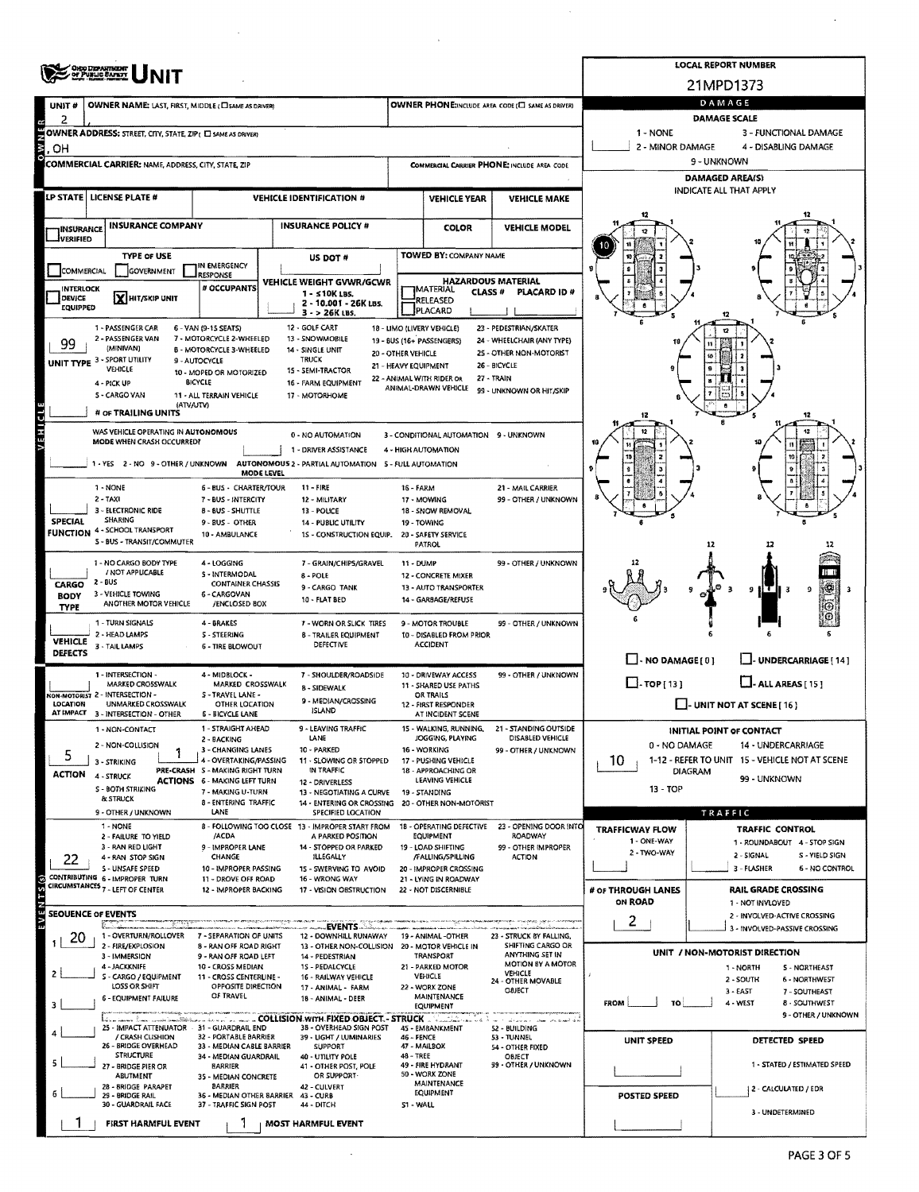|                                  | OHIO DEPARTMENT                                                                          |                                                                           | <b>LOCAL REPORT NUMBER</b>   |                                                                       |                                                              |                                                 |                                                   |                                                                 |                               |                                                                  |  |  |  |
|----------------------------------|------------------------------------------------------------------------------------------|---------------------------------------------------------------------------|------------------------------|-----------------------------------------------------------------------|--------------------------------------------------------------|-------------------------------------------------|---------------------------------------------------|-----------------------------------------------------------------|-------------------------------|------------------------------------------------------------------|--|--|--|
|                                  |                                                                                          |                                                                           |                              |                                                                       |                                                              |                                                 |                                                   |                                                                 | 21MPD1373                     |                                                                  |  |  |  |
| UNIT #                           | OWNER NAME: LAST, FIRST, MIDDLE (CI SAME AS DRIVER)                                      |                                                                           |                              |                                                                       |                                                              |                                                 | OWNER PHONE:INCLUDE AREA CODE (E) SAME AS DRIVER) |                                                                 | DAMAGE<br><b>DAMAGE SCALE</b> |                                                                  |  |  |  |
| 2                                | OWNER ADDRESS: STREET, CITY, STATE, ZIP ( C) SAME AS DRIVER)                             |                                                                           |                              |                                                                       |                                                              |                                                 |                                                   | 1 - NONE                                                        |                               | 3 - FUNCTIONAL DAMAGE                                            |  |  |  |
| ΟW <sub>Ο</sub><br>OН            |                                                                                          |                                                                           |                              |                                                                       |                                                              |                                                 |                                                   | 2 - MINOR DAMAGE                                                |                               | 4 - DISABLING DAMAGE                                             |  |  |  |
|                                  | <b>COMMERCIAL CARRIER: NAME, ADDRESS, CITY, STATE, ZIP</b>                               |                                                                           |                              |                                                                       |                                                              |                                                 | COMMERCIAL CARRIER PHONE: INCLUDE AREA CODE       | 9 - UNKNOWN                                                     |                               |                                                                  |  |  |  |
|                                  |                                                                                          |                                                                           |                              |                                                                       |                                                              |                                                 |                                                   | <b>DAMAGED AREA(S)</b><br>INDICATE ALL THAT APPLY               |                               |                                                                  |  |  |  |
|                                  | LP STATE   LICENSE PLATE #                                                               |                                                                           |                              | <b>VEHICLE IDENTIFICATION #</b>                                       |                                                              | <b>VEHICLE YEAR</b>                             | <b>VEHICLE MAKE</b>                               |                                                                 |                               |                                                                  |  |  |  |
| <b>INSURANCE</b>                 | <b>INSURANCE COMPANY</b>                                                                 |                                                                           |                              | <b>INSURANCE POLICY #</b>                                             |                                                              | <b>COLOR</b>                                    | <b>VEHICLE MODEL</b>                              |                                                                 |                               |                                                                  |  |  |  |
| <b>JVERIFIED</b>                 |                                                                                          |                                                                           |                              |                                                                       |                                                              |                                                 |                                                   |                                                                 |                               |                                                                  |  |  |  |
| COMMERCIAL                       | <b>TYPE or USE</b><br>GOVERNMENT                                                         | IN EMERGENCY                                                              |                              | US DOT#                                                               |                                                              | <b>TOWED BY: COMPANY NAME</b>                   |                                                   |                                                                 |                               |                                                                  |  |  |  |
| <b>INTERLOCK</b>                 |                                                                                          | <b>LIRESPONSE</b><br># OCCUPANTS                                          |                              | VEHICLE WEIGHT GVWR/GCWR                                              |                                                              | <b>HAZARDOUS MATERIAL</b><br><b>IMATERIAL</b>   |                                                   |                                                                 |                               |                                                                  |  |  |  |
| <b>DEVICE</b><br><b>EQUIPPED</b> | X HIT/SKIP UNIT                                                                          |                                                                           |                              | 1 - s10K LBS.<br>2 - 10.001 - 26K LBS.                                |                                                              | <b>CLASS#</b><br>RELEASED<br>PLACARD            | PLACARD ID #                                      |                                                                 |                               |                                                                  |  |  |  |
|                                  | 1 - PASSENGER CAR                                                                        | 6 - VAN (9-15 SEATS)                                                      |                              | 3 - > 26K LBS.<br>12 - GOLF CART                                      |                                                              | 18 - LIMO (LIVERY VEHICLE)                      | 23 - PEDESTRIAN/SKATER                            |                                                                 |                               |                                                                  |  |  |  |
| 99                               | 2 - PASSENGER VAN<br>(MINIVAN)                                                           | 7 - MOTORCYCLE 2-WHEELED                                                  |                              | 13 - SNOWMOBILE                                                       |                                                              | 19 - BUS (16+ PASSENGERS)                       | 24 - WHEELCHAIR (ANY TYPE)                        |                                                                 |                               |                                                                  |  |  |  |
|                                  | <b>UNIT TYPE 3 - SPORT UTILITY</b>                                                       | <b>B - MOTORCYCLE 3-WHEELED</b><br>9 - AUTOCYCLE                          |                              | 14 - SINGLE UNIT<br><b>TRUCK</b>                                      | 20 - OTHER VEHICLE<br>21 - HEAVY EQUIPMENT                   |                                                 | 25 - OTHER NON-MOTORIST<br>26 - BICYCLE           |                                                                 |                               |                                                                  |  |  |  |
|                                  | <b>VEHICLE</b><br>4 - PICK UP                                                            | 10 - MOPED OR MOTORIZED<br><b>BICYCLE</b>                                 |                              | 15 - SEMI-TRACTOR<br>16 - FARM EQUIPMENT                              |                                                              | 22 - ANIMAL WITH RIDER OR                       | 27 - TRAIN                                        |                                                                 |                               |                                                                  |  |  |  |
|                                  | S - CARGO VAN<br>(ATVAJTV)                                                               | 11 - ALL TERRAIN VEHICLE                                                  |                              | 17 - MOTORHOME                                                        |                                                              | ANIMAL-DRAWN VEHICLE                            | 99 - UNKNOWN OR HIT/SKIP                          |                                                                 |                               |                                                                  |  |  |  |
|                                  | # OF TRAILING UNITS                                                                      |                                                                           |                              |                                                                       |                                                              |                                                 |                                                   | 12                                                              |                               |                                                                  |  |  |  |
| VEHICLE                          | WAS VEHICLE OPERATING IN AUTONOMOUS<br>MODE WHEN CRASH OCCURRED?                         |                                                                           |                              | 0 - NO AUTOMATION                                                     |                                                              | 3 - CONDITIONAL AUTOMATION 9 - UNKNOWN          |                                                   |                                                                 |                               | 12                                                               |  |  |  |
|                                  |                                                                                          |                                                                           |                              | 1 - DRIVER ASSISTANCE                                                 |                                                              | 4 - HIGH AUTOMATION                             |                                                   |                                                                 |                               |                                                                  |  |  |  |
|                                  | 1 - YES 2 - NO 9 - OTHER / UNKNOWN AUTONOMOUS 2 - PARTIAL AUTOMATION 5 - FULL AUTOMATION |                                                                           | <b>MODE LEVEL</b>            |                                                                       |                                                              |                                                 |                                                   |                                                                 |                               |                                                                  |  |  |  |
|                                  | 1 - NONE<br>$2 - TAXI$                                                                   | <b>6 - BUS - CHARTER/TOUR</b>                                             | $11 -$ FIRE<br>12 - MILITARY | 16 - FARM                                                             | 17 - MOWING                                                  | 21 - MAIL CARRIER<br>99 - OTHER / UNKNOWN       |                                                   |                                                                 |                               |                                                                  |  |  |  |
|                                  | 3 - ELECTRONIC RIDE<br><b>SHARING</b>                                                    | 7 - BUS - INTERCITY<br>8 - BUS - SHUTTLE                                  |                              | 13 - POLICE                                                           |                                                              | 18 - SNOW REMOVAL                               |                                                   |                                                                 |                               |                                                                  |  |  |  |
| <b>SPECIAL</b>                   | <b>FUNCTION 4 - SCHOOL TRANSPORT</b>                                                     | 9 - BUS - OTHER<br>10 - AMBULANCE                                         |                              | <b>14 - PUBLIC UTILITY</b><br>1S - CONSTRUCTION EQUIP.                |                                                              | 19 - TOWING<br>20 - SAFETY SERVICE              |                                                   |                                                                 |                               |                                                                  |  |  |  |
|                                  | 5 - BUS - TRANSIT/COMMUTER                                                               |                                                                           |                              |                                                                       |                                                              | <b>PATROL</b>                                   |                                                   |                                                                 | 12                            | 17                                                               |  |  |  |
|                                  | 1 - NO CARGO BODY TYPE<br>/ NOT APPLICABLE                                               | 4 - LOGGING<br>5 - INTERMODAL                                             |                              | 7 - GRAIN/CHIPS/GRAVEL<br>8 - POLE                                    | 11 - DUMP                                                    | 12 - CONCRETE MIXER                             | 99 - OTHER / UNKNOWN                              |                                                                 |                               |                                                                  |  |  |  |
| CARGO                            | 2 - BUS<br>3 - VEHICLE TOWING                                                            | <b>CONTAINER CHASSIS</b><br>6 - CARGOVAN                                  |                              | 9 - CARGO TANK                                                        |                                                              | 13 - AUTO TRANSPORTER                           |                                                   |                                                                 | a                             | jŒ,<br>9<br>9                                                    |  |  |  |
| <b>BODY</b><br><b>TYPE</b>       | ANOTHER MOTOR VEHICLE                                                                    | /ENCLOSED BOX                                                             |                              | 10 - FLAT BED                                                         |                                                              | 14 - GARBAGE/REFUSE                             |                                                   |                                                                 |                               | Ю                                                                |  |  |  |
|                                  | 1 - TURN SIGNALS                                                                         | 4 - BRAKES                                                                |                              | 7 - WORN OR SLICK TIRES                                               |                                                              | 9 - MOTOR TROUBLE                               | 99 - OTHER / UNKNOWN                              |                                                                 |                               |                                                                  |  |  |  |
| VEHICLE<br><b>DEFECTS</b>        | 2 - HEAD LAMPS<br>3 - TAIL LAMPS                                                         | S - STEERING<br><b>6 - TIRE BLOWOUT</b>                                   |                              | <b>8 - TRAILER EQUIPMENT</b><br><b>DEFECTIVE</b>                      |                                                              | 10 - DISABLED FROM PRIOR<br><b>ACCIDENT</b>     |                                                   |                                                                 |                               |                                                                  |  |  |  |
|                                  |                                                                                          |                                                                           |                              |                                                                       |                                                              |                                                 |                                                   | $\Box$ - NO DAMAGE [ 0 ]                                        |                               | J-UNDERCARRIAGE [14]                                             |  |  |  |
|                                  | 1 - INTERSECTION -<br>MARKED CROSSWALK                                                   | 4 - MIDBLOCK -<br>MARKED CROSSWALK                                        |                              | 7 - SHOULDER/ROADSIDE<br>8 - SIDEWALK                                 |                                                              | 10 - DRIVEWAY ACCESS<br>11 - SHARED USE PATHS   | 99 - OTHER / UNKNOWN                              | $\Box$ -TOP[13]                                                 |                               | $LJ$ - ALL AREAS [15]                                            |  |  |  |
| LOCATION                         | YON-MOTORIST 2 - INTERSECTION -<br>UNMARKED CROSSWALK                                    | S-TRAVEL LANE -<br>9 - MEDIAN/CROSSING<br>OTHER LOCATION<br><b>ISLAND</b> |                              |                                                                       | OR TRAILS<br><b>12 - FIRST RESPONDER</b>                     |                                                 |                                                   | $\Box$ - UNIT NOT AT SCENE [ 16 ]                               |                               |                                                                  |  |  |  |
|                                  | AT IMPACT 3 - INTERSECTION - OTHER<br>1 - NON-CONTACT                                    | <b>6 - BICYCLE LANE</b><br>1 - STRAIGHT AHEAD                             |                              | 9 - LEAVING TRAFFIC                                                   |                                                              | AT INCIDENT SCENE<br>15 - WALKING, RUNNING,     | 21 - STANDING OUTSIDE                             |                                                                 |                               |                                                                  |  |  |  |
|                                  | 2 - NON-COLLISION                                                                        | 2 - BACKING                                                               |                              | LANE                                                                  |                                                              | JOGGING, PLAYING                                | DISABLED VEHICLE                                  | INITIAL POINT OF CONTACT<br>0 - NO DAMAGE<br>14 - UNDERCARRIAGE |                               |                                                                  |  |  |  |
| 5                                | 3 - STRIKING                                                                             | 3 - CHANGING LANES<br>4 - OVERTAKING/PASSING                              |                              | 10 - PARKED<br>11 - SLOWING OR STOPPED                                | 16 - WORKING<br>99 - OTHER / UNKNOWN<br>17 - PUSHING VEHICLE |                                                 |                                                   | 10.                                                             |                               | 1-12 - REFER TO UNIT 15 - VEHICLE NOT AT SCENE                   |  |  |  |
| <b>ACTION</b>                    | 4 - STRUCK                                                                               | PRE-CRASH S - MAKING RIGHT TURN<br><b>ACTIONS 6 - MAKING LEFT TURN</b>    |                              | IN TRAFFIC<br>12 - DRIVERLESS                                         | 18 - APPROACHING OR<br>DIAGRAM<br>LEAVING VEHICLE            |                                                 |                                                   |                                                                 |                               | 99 - UNKNOWN                                                     |  |  |  |
|                                  | <b>S - BOTH STRIKING</b><br>& STRUCK                                                     | 7 - MAKING U-TURN<br>8 - ENTERING TRAFFIC                                 |                              | 13 - NEGOTIATING A CURVE<br>14 - ENTERING OR CROSSING                 |                                                              | 19 - STANDING<br>20 - OTHER NON-MOTORIST        |                                                   | <b>13 - TOP</b>                                                 |                               |                                                                  |  |  |  |
|                                  | 9 - OTHER / UNKNOWN                                                                      | LANE                                                                      |                              | SPECIFIED LOCATION                                                    |                                                              |                                                 |                                                   |                                                                 | TRAFFIC                       |                                                                  |  |  |  |
|                                  | 1 - NONE<br>2 - FAILURE TO YIELD                                                         | /ACDA                                                                     |                              | 8 - FOLLOWING TOO CLOSE 13 - IMPROPER START FROM<br>A PARKED POSITION |                                                              | 18 - OPERATING DEFECTIVE<br>EQUIPMENT           | 23 - OPENING DOOR INTO<br>ROADWAY                 | <b>TRAFFICWAY FLOW</b><br>1 - ONE-WAY                           |                               | TRAFFIC CONTROL<br>1 - ROUNDABOUT 4 - STOP SIGN                  |  |  |  |
| 22                               | 3 - RAN RED LIGHT<br>4 - RAN STOP SIGN                                                   | 9 - IMPROPER LANE<br>CHANGE                                               |                              | 14 - STOPPED OR PARKED<br><b>ILLEGALLY</b>                            |                                                              | 19 - LOAD SHIFTING<br>/FAILING/SPILLING         | 99 - OTHER IMPROPER<br><b>ACTION</b>              | 2 - TWO-WAY                                                     |                               | 2 - SIGNAL<br>S - YIELD SIGN                                     |  |  |  |
|                                  | S - UNSAFE SPEED<br>CONTRIBUTING 6 - IMPROPER TURN                                       | 10 - IMPROPER PASSING<br>11 - DROVE OFF ROAD                              |                              | 15 - SWERVING TO AVOID<br>16 - WRONG WAY                              |                                                              | 20 - IMPROPER CROSSING<br>21 - LYING IN ROADWAY |                                                   |                                                                 |                               | 3 - FLASHER<br>6 - NO CONTROL                                    |  |  |  |
| (s) 5                            | CIRCUMSTANCES 7 - LEFT OF CENTER                                                         | 12 - IMPROPER BACKING                                                     |                              | 17 - VISION OBSTRUCTION                                               |                                                              | 22 - NOT DISCERNIBLE                            |                                                   | # OF THROUGH LANES                                              |                               | <b>RAIL GRADE CROSSING</b>                                       |  |  |  |
| ш                                | <b>SEOUENCE OF EVENTS</b>                                                                |                                                                           |                              |                                                                       |                                                              |                                                 |                                                   | ON ROAD                                                         |                               | 1 - NOT INVLOVED<br>2 - INVOLVED-ACTIVE CROSSING                 |  |  |  |
|                                  | 1 - OVERTURN/ROLLOVER                                                                    | 7 - SEPARATION OF UNITS                                                   |                              | EVENTS .<br>12 - DOWNHILL RUNAWAY                                     |                                                              | 19 - ANIMAL -OTHER                              | 23 - STRUCK BY FALLING,                           | 2                                                               |                               | 3 - INVOLVED-PASSIVE CROSSING                                    |  |  |  |
| 20                               | 2 - FIRE/EXPLOSION<br>3 - IMMERSION                                                      | 8 - RAN OFF ROAD RIGHT<br>9 - RAN OFF ROAD LEFT                           |                              | 13 - OTHER NON-COLLISION 20 - MOTOR VEHICLE IN<br>14 - PEDESTRIAN     |                                                              | TRANSPORT                                       | SHIFTING CARGO OR<br>ANYTHING SET IN              |                                                                 |                               | UNIT / NON-MOTORIST DIRECTION                                    |  |  |  |
|                                  | 4 - JACKKNIFE                                                                            | 10 - CROSS MEDIAN                                                         |                              | 1S - PEDALCYCLE                                                       |                                                              | 21 - PARKED MOTOR                               | <b>MOTION BY A MOTOR</b><br><b>VEHICLE</b>        |                                                                 |                               | 1 - NORTH<br><b>S-NORTHEAST</b>                                  |  |  |  |
|                                  | S - CARGO / EQUIPMENT<br>LOSS OR SHIFT                                                   | 11 - CROSS CENTERLINE -<br>OPPOSITE DIRECTION                             |                              | 16 - RAILWAY VEHICLE<br>17 - ANIMAL - FARM                            |                                                              | VEHICLE<br>22 - WORK ZONE                       | 24 - OTHER MOVABLE<br><b>OBJECT</b>               |                                                                 |                               | 2 - SOUTH<br><b>6 - NORTHWEST</b><br>$3 - EAST$<br>7 - SOUTHEAST |  |  |  |
| З                                | <b>6 - EQUIPMENT FAILURE</b>                                                             | OF TRAVEL                                                                 |                              | 18 - ANIMAL - DEER                                                    |                                                              | MAINTENANCE<br>EQUIPMENT                        |                                                   | <b>FROM</b><br>TO                                               |                               | 4 - WEST<br>8 - SOUTHWEST                                        |  |  |  |
|                                  | 25 - IMPACT ATTENUATOR 31 - GUARDRAIL END                                                |                                                                           |                              | 38 - OVERHEAD SIGN POST                                               |                                                              | 45 - EMBANKMENT                                 | 52 - BUILDING                                     |                                                                 |                               | 9 - OTHER / UNKNOWN                                              |  |  |  |
|                                  | / CRASH CUSHION<br>26 - BRIDGE OVERHEAD                                                  | 32 - PORTABLE BARRIER<br>33 - MEDIAN CABLE BARRIER                        |                              | 39 - LIGHT / LUMINARIES<br><b>SUPPORT</b>                             | 46 - FENCE                                                   | 47 - MAILBOX                                    | 53 - TUNNEL<br>54 - OTHER FIXED                   | UNIT SPEED                                                      |                               | DETECTED SPEED                                                   |  |  |  |
|                                  | <b>STRUCTURE</b><br>27 - BRIDGE PIER OR                                                  | 34 - MEDIAN GUARDRAIL<br><b>HARRIER</b>                                   |                              | 40 - UTILITY POLE<br>41 - OTHER POST, POLE                            | 48 - TREE<br>49 - FIRE HYDRANT                               |                                                 | OBJECT<br>99 - OTHER / UNKNOWN                    |                                                                 |                               | 1 - STATED / ESTIMATED SPEED                                     |  |  |  |
|                                  | ABUTMENT<br>28 - BRIDGE PARAPET                                                          | 35 - MEDIAN CONCRETE<br><b>BARRIER</b>                                    |                              | OR SUPPORT-<br>42 - CULVERT                                           |                                                              | 50 - WORK ZONE<br>MAINTENANCE                   |                                                   |                                                                 |                               | 2 - CALCULATED / EDR                                             |  |  |  |
|                                  | 29 - BRIDGE RAIL<br>30 - GUARDRAIL FACE                                                  | 36 - MEDIAN OTHER BARRIER 43 - CURB<br>37 - TRAFFIC SIGN POST             |                              | 44 - DITCH                                                            | S1 - WALL                                                    | <b>EQUIPMENT</b>                                |                                                   |                                                                 |                               |                                                                  |  |  |  |
|                                  | <b>FIRST HARMFUL EVENT</b>                                                               |                                                                           |                              | <b>MOST HARMFUL EVENT</b>                                             |                                                              |                                                 |                                                   |                                                                 |                               | 3 - UNDETERMINED                                                 |  |  |  |
|                                  |                                                                                          |                                                                           |                              |                                                                       |                                                              |                                                 |                                                   |                                                                 |                               |                                                                  |  |  |  |

 $\bar{\mathcal{A}}$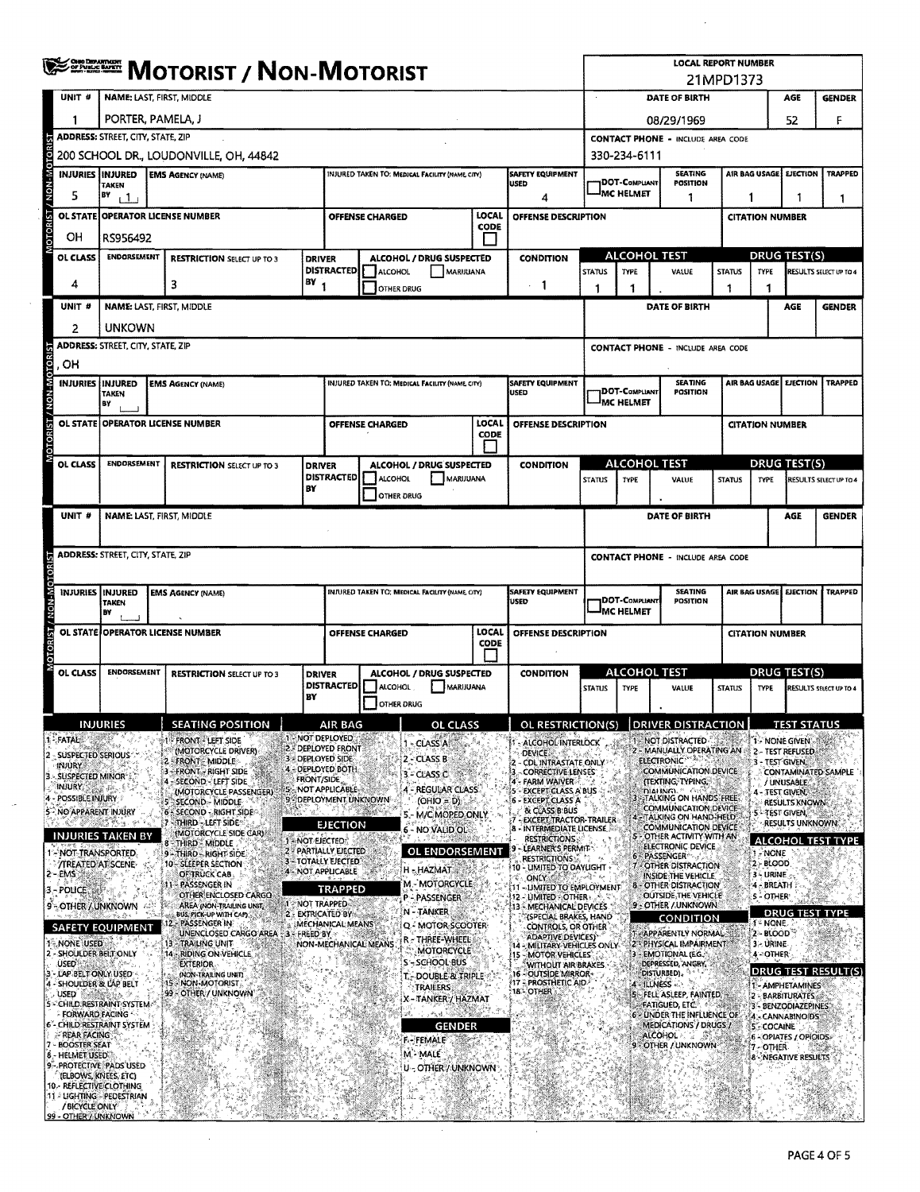|                                                       | <b>SERRICH MOTORIST / NON-MOTORIST</b>                                                                           |                                                                          |                                            |                                                                                          |                                                |                                       |                         |                                                                              |                                              |                                          | <b>LOCAL REPORT NUMBER</b>                                               | 21MPD1373                                |                                          |                                          |                     |  |  |  |  |  |
|-------------------------------------------------------|------------------------------------------------------------------------------------------------------------------|--------------------------------------------------------------------------|--------------------------------------------|------------------------------------------------------------------------------------------|------------------------------------------------|---------------------------------------|-------------------------|------------------------------------------------------------------------------|----------------------------------------------|------------------------------------------|--------------------------------------------------------------------------|------------------------------------------|------------------------------------------|------------------------------------------|---------------------|--|--|--|--|--|
| UNIT #                                                |                                                                                                                  | <b>NAME: LAST, FIRST, MIDDLE</b>                                         |                                            |                                                                                          |                                                |                                       |                         |                                                                              | $\epsilon$                                   |                                          | DATE OF BIRTH                                                            |                                          |                                          | AGE                                      | <b>GENDER</b><br>F  |  |  |  |  |  |
| 1                                                     |                                                                                                                  | PORTER, PAMELA, J                                                        |                                            |                                                                                          |                                                |                                       |                         |                                                                              |                                              |                                          | 08/29/1969                                                               |                                          |                                          | 52                                       |                     |  |  |  |  |  |
|                                                       | <b>ADDRESS: STREET, CITY, STATE, ZIP</b>                                                                         |                                                                          |                                            |                                                                                          |                                                |                                       |                         |                                                                              |                                              | <b>CONTACT PHONE - INCLUDE AREA CODE</b> |                                                                          |                                          |                                          |                                          |                     |  |  |  |  |  |
|                                                       | 200 SCHOOL DR., LOUDONVILLE, OH, 44842                                                                           |                                                                          |                                            |                                                                                          |                                                |                                       |                         |                                                                              |                                              | 330-234-6111                             |                                                                          |                                          |                                          |                                          |                     |  |  |  |  |  |
| <b>INJURIES IINJURED</b>                              | <b>TAKEN</b>                                                                                                     | <b>EMS AGENCY (NAME)</b>                                                 |                                            | <b>SAFETY EQUIPMENT</b><br>INJURED TAKEN TO: MEDICAL FACILITY (NAME CITY)<br><b>USED</b> |                                                |                                       |                         | <b>SEATING</b><br><b>DOT-COMPLIANT</b><br>POSITION<br><sup>I</sup> MC HELMET |                                              |                                          |                                                                          | AIR BAG USAGE EJECTION<br><b>TRAPPED</b> |                                          |                                          |                     |  |  |  |  |  |
| 5                                                     | BY<br>11                                                                                                         | <b>OPERATOR LICENSE NUMBER</b>                                           |                                            |                                                                                          |                                                |                                       | LOCAL                   | 4                                                                            |                                              |                                          | -1                                                                       | 1<br>1<br>1                              |                                          |                                          |                     |  |  |  |  |  |
| <b>OL STATE</b><br>OН                                 |                                                                                                                  |                                                                          |                                            |                                                                                          | <b>OFFENSE CHARGED</b>                         |                                       | <b>CODE</b>             | OFFENSE DESCRIPTION                                                          |                                              |                                          |                                                                          |                                          | <b>CITATION NUMBER</b>                   |                                          |                     |  |  |  |  |  |
| OL CLASS                                              | RS956492<br><b>ENDORSEMENT</b>                                                                                   | <b>RESTRICTION SELECT UP TO 3</b>                                        | <b>DRIVER</b>                              |                                                                                          | ALCOHOL / DRUG SUSPECTED                       |                                       |                         | <b>CONDITION</b>                                                             |                                              | ALCOHOL TEST                             |                                                                          |                                          |                                          | <b>DRUG TEST(S)</b>                      |                     |  |  |  |  |  |
|                                                       |                                                                                                                  |                                                                          |                                            | <b>DISTRACTED</b>                                                                        | ALCOHOL                                        | MARIJUANA                             |                         |                                                                              | <b>STATUS</b><br><b>TYPE</b><br>VALUE        |                                          | <b>STATUS</b>                                                            | TYPE                                     |                                          | <b>RESULTS SELECT UP TO 4</b>            |                     |  |  |  |  |  |
| 4                                                     |                                                                                                                  | 3                                                                        | $BY_1$                                     |                                                                                          | <b>OTHER DRUG</b>                              |                                       |                         | $-1$                                                                         | 1                                            | $\mathbf{1}$                             |                                                                          | 1                                        | 1                                        |                                          |                     |  |  |  |  |  |
| UNIT <sub>6</sub>                                     |                                                                                                                  | <b>NAME: LAST, FIRST, MIDDLE</b>                                         |                                            |                                                                                          |                                                |                                       |                         |                                                                              |                                              |                                          | DATE OF BIRTH                                                            |                                          |                                          | AGE                                      | <b>GENDER</b>       |  |  |  |  |  |
| 2                                                     | <b>UNKOWN</b>                                                                                                    |                                                                          |                                            |                                                                                          |                                                |                                       |                         |                                                                              |                                              |                                          |                                                                          |                                          |                                          |                                          |                     |  |  |  |  |  |
| <b>GRIST</b><br>OH                                    | <b>ADDRESS: STREET, CITY, STATE, ZIP</b>                                                                         |                                                                          |                                            |                                                                                          |                                                |                                       |                         |                                                                              | <b>CONTACT PHONE - INCLUDE AREA CODE</b>     |                                          |                                                                          |                                          |                                          |                                          |                     |  |  |  |  |  |
| <b>INJURIES IINJURED</b>                              |                                                                                                                  | <b>EMS AGENCY (NAME)</b>                                                 |                                            |                                                                                          | INJURED TAKEN TO: MEDICAL FACILITY (NAME CITY) |                                       |                         | <b>SAFETY EQUIPMENT</b>                                                      |                                              |                                          | <b>SEATING</b>                                                           |                                          |                                          | AIR BAG USAGE EJECTION                   | <b>TRAPPED</b>      |  |  |  |  |  |
| <b>N-N-N</b>                                          | <b>TAKEN</b><br>BY                                                                                               |                                                                          |                                            |                                                                                          |                                                |                                       |                         | <b>USED</b>                                                                  |                                              | <b>DOT-COMPLIANT</b><br>MC HELMET        | <b>POSITION</b>                                                          |                                          |                                          |                                          |                     |  |  |  |  |  |
| <b>OL STATE</b>                                       |                                                                                                                  | <b>OPERATOR LICENSE NUMBER</b>                                           |                                            |                                                                                          | <b>OFFENSE CHARGED</b>                         |                                       | LOCAL                   | OFFENSE DESCRIPTION                                                          |                                              |                                          |                                                                          |                                          | <b>CITATION NUMBER</b>                   |                                          |                     |  |  |  |  |  |
| <b>OTORET</b>                                         |                                                                                                                  |                                                                          |                                            |                                                                                          |                                                |                                       | <b>CODE</b>             |                                                                              |                                              |                                          |                                                                          |                                          |                                          |                                          |                     |  |  |  |  |  |
| <b>OL CLASS</b>                                       | <b>ENDORSEMENT</b>                                                                                               | <b>RESTRICTION SELECT UP TO 3</b>                                        | <b>DRIVER</b>                              |                                                                                          | ALCOHOL / DRUG SUSPECTED                       |                                       |                         | <b>CONDITION</b>                                                             |                                              | ALCOHOL TEST                             |                                                                          |                                          | <b>DRUG TEST(S)</b>                      |                                          |                     |  |  |  |  |  |
|                                                       |                                                                                                                  |                                                                          | BY                                         | <b>DISTRACTED</b>                                                                        | ALCOHOL<br><b>OTHER DRUG</b>                   | MARUUANA                              |                         |                                                                              | <b>STATUS</b>                                | TYPE                                     | VALUE<br><b>STATUS</b>                                                   |                                          | <b>TYPE</b><br>RESULTS SELECT UP TO 4    |                                          |                     |  |  |  |  |  |
| UNIT #                                                |                                                                                                                  | NAME: LAST, FIRST, MIDDLE                                                |                                            |                                                                                          |                                                |                                       |                         |                                                                              | DATE OF BIRTH                                |                                          |                                                                          |                                          |                                          | AGE                                      | <b>GENDER</b>       |  |  |  |  |  |
|                                                       |                                                                                                                  |                                                                          |                                            |                                                                                          |                                                |                                       |                         |                                                                              |                                              |                                          |                                                                          |                                          |                                          |                                          |                     |  |  |  |  |  |
|                                                       | <b>ADDRESS: STREET, CITY, STATE, ZIP</b>                                                                         |                                                                          |                                            |                                                                                          |                                                |                                       |                         |                                                                              |                                              |                                          | <b>CONTACT PHONE - INCLUDE AREA CODE</b>                                 |                                          |                                          |                                          |                     |  |  |  |  |  |
|                                                       |                                                                                                                  |                                                                          |                                            |                                                                                          |                                                |                                       |                         |                                                                              |                                              |                                          |                                                                          |                                          |                                          |                                          |                     |  |  |  |  |  |
|                                                       | INJURIES INJURED<br>INJURED TAKEN TO: MEDICAL FACILITY (NAME, CITY)<br><b>EMS AGENCY (NAME)</b><br>USED<br>TAKEN |                                                                          |                                            |                                                                                          |                                                |                                       | <b>SAFETY EQUIPMENT</b> |                                                                              | <b>IDOT-COMPLIANT</b>                        | <b>SEATING</b><br><b>POSITION</b>        |                                                                          |                                          |                                          | AIR BAG USAGE EJECTION TRAPPED           |                     |  |  |  |  |  |
|                                                       | BY                                                                                                               |                                                                          |                                            |                                                                                          |                                                |                                       |                         |                                                                              | <b>I</b> MC HELMET<br><b>CITATION NUMBER</b> |                                          |                                                                          |                                          |                                          |                                          |                     |  |  |  |  |  |
|                                                       |                                                                                                                  | OL STATE OPERATOR LICENSE NUMBER                                         |                                            |                                                                                          | <b>OFFENSE CHARGED</b>                         |                                       | LOCAL<br><b>CODE</b>    | OFFENSE DESCRIPTION                                                          |                                              |                                          |                                                                          |                                          |                                          |                                          |                     |  |  |  |  |  |
| OL CLASS                                              | <b>ENDORSEMENT</b>                                                                                               | <b>RESTRICTION SELECT UP TO 3</b>                                        | <b>DRIVER</b>                              |                                                                                          | ALCOHOL / DRUG SUSPECTED                       |                                       |                         | <b>CONDITION</b>                                                             | <b>ALCOHOL TEST</b><br><b>DRUG TEST(S)</b>   |                                          |                                                                          |                                          |                                          |                                          |                     |  |  |  |  |  |
|                                                       |                                                                                                                  |                                                                          | BY                                         | <b>DISTRACTED</b>                                                                        | ALCOHOL                                        | MARIJUANA                             |                         | <b>TYPE</b><br><b>STATUS</b>                                                 |                                              |                                          | VALUE<br><b>STATUS</b>                                                   |                                          | <b>TYPE</b>                              | RESULTS SELECT UP TO 4                   |                     |  |  |  |  |  |
|                                                       |                                                                                                                  |                                                                          |                                            |                                                                                          | <b>OTHER DRUG</b>                              |                                       |                         |                                                                              |                                              |                                          |                                                                          |                                          |                                          |                                          |                     |  |  |  |  |  |
|                                                       | <b>INJURIES</b>                                                                                                  | <b>SEATING POSITION</b>                                                  | 1 - NOT DEPLOYED                           | AIR RAG                                                                                  |                                                | OL CLASS.                             |                         | OL RESTRICTION(S) IDRIVER DISTRACTION                                        |                                              |                                          |                                                                          |                                          |                                          | <b>TEST STATHS</b>                       |                     |  |  |  |  |  |
| <b>FATAL</b><br>SUSPECTED SERIOUS                     |                                                                                                                  | <b>FRONT - LEFT SIDE</b><br>(MOTORCYCLE DRIVER)<br><b>FRONT-MIDDLE</b>   | 2 - DEPLOYED FRONT<br>3 - DEPLOYED SIDE    |                                                                                          |                                                | <b>CLASS A</b><br>2 - CLASS B         |                         | - ALCOHOL INTERLOCK<br><b>DEVICE:</b>                                        |                                              |                                          | <b>NOT DISTRACTED</b><br>MANUALLY OPERATING AN<br><b>ELECTRONIC®®</b>    |                                          |                                          | 1 - NONE GIVEN<br>2 - TEST REFUSED       |                     |  |  |  |  |  |
| <b>INJURY</b><br>SUSPECTED MINOR                      |                                                                                                                  | - FRONT - RIGHT SIDE<br>SECOND LEFT SIDE                                 | 4 - DEPLOYED BOTH<br>FRONT/SIDE            |                                                                                          |                                                | 3 - CLASS C                           |                         | COL INTRASTATE ONLY<br>CORRECTIVE LENSES<br>4 - FARM WAIVER                  |                                              |                                          | COMMUNICATION DEVICE<br><b>ITEXTING, TYPING,</b>                         |                                          | 3 - TEST GIVEN,                          | / UNUSABLE                               | CONTAMINATED SAMPLE |  |  |  |  |  |
| injury,<br>POSSIBLE INJURY                            |                                                                                                                  | (MOTORCYCLE PASSENGER)<br>SECOND - MIDDLE                                | 9 - DEPLOYMENT UNKNOWN                     | NOT APPLICABLE                                                                           |                                                | 4 - REGULAR CLASS<br>$(OHIO = D)$     |                         | 5 - EXCEPT CLASS A BUS<br>6 - EXCEPT CLASS A                                 |                                              |                                          | DIAHNER.<br>TALKING ON HANDS FREE                                        |                                          | 4 - TEST GIVEN,                          | <b>RESULTS KNOWN</b>                     |                     |  |  |  |  |  |
| 5 - NO APPARENT INJURY                                | 89. GEV                                                                                                          | 6 - SECOND - RIGHT SIDE<br>-THIRD - LEFT SIDE                            |                                            |                                                                                          |                                                | 5 - M/C MOPED ONLY                    |                         | & CLASS B BUS<br><b>EXCEPT TRACTOR-TRAILER</b>                               |                                              |                                          | <b>COMMUNICATION DEVICE</b><br>TALKING ON HAND-HELD                      |                                          | <b>STREST GIVEN.</b>                     | RESULTS UNKNOWN:                         |                     |  |  |  |  |  |
|                                                       | INJURIES TAKEN BY                                                                                                | (MOTORCYCLE SIDE CAR)<br>- THIRD - MIDDLE                                | 1-NOT EJECTED:                             | <b>EJECTION</b>                                                                          |                                                | 6 - NO VALID OL                       |                         | INTERMEDIATE LICENSE<br><b>RESTRICTIONS</b>                                  |                                              |                                          | COMMUNICATION DEVICE<br>5 - OTHER ACTIVITY WITH AN<br>ELECTRONIC DEVICE. |                                          |                                          |                                          | ALCOHOL TEST TYPE   |  |  |  |  |  |
| 1 - NOT TRANSPORTED.<br><b>/TREATED AT SCENE-</b>     |                                                                                                                  | 9 - THIRD - RIGHT SIDE<br>10 - SLEEPER SECTION                           | 2 - PARTIALLY EIECTED<br>3-TOTALLY EJECTED |                                                                                          |                                                | OL ENDORSEMENT                        |                         | LEARNER'S PERMIT-<br><b>RESTRICTIONS</b><br>10 - LIMITED TO DAYLIGHT         |                                              |                                          | 6 - PASSENGER <sup>,</sup><br>- OTHER DISTRACTION                        |                                          | $-$ NONE<br>$2 - BLOOD$                  |                                          |                     |  |  |  |  |  |
| 2 - EMS                                               |                                                                                                                  | OF TRUCK CAB<br>- PASSENGER IN                                           | 4 - NOT APPLICABLE                         | <b>TRAPPED</b>                                                                           |                                                | H - HAZMAT<br><b>M - MOTORCYCLE</b>   |                         | <b>ONLY</b><br>11 - LIMITED TO EMPLOYMENT                                    | nariji na                                    |                                          | INSIDE THE VEHICLE<br><b>8 - OTHER DISTRACTION</b>                       |                                          | 3 - URINE<br>4 - BREATH                  |                                          |                     |  |  |  |  |  |
| 3 – POLICE I<br>9 - OTHER / UNKNOWN                   |                                                                                                                  | OTHER ENCLOSED CARGO<br>AREA (NON-TRAILING UNIT,                         | 1 NOT TRAPPED                              |                                                                                          |                                                | P - PASSENGER                         |                         | 2 - LIMITED - OTHER<br><b>13 - MECHANICAL DEVICES</b>                        |                                              |                                          | <b>OUTSIDE THE VEHICLE</b><br>9 - OTHER / UNKNOWN                        |                                          | <b>5-OTHER</b>                           |                                          |                     |  |  |  |  |  |
| <b>SAFETY EQUIPMENT</b>                               |                                                                                                                  | BUS FICK-UP WITH CAP)<br>PASSENGER IN                                    | 2 - EXTRICATED BY                          | MECHANICAL MEANS                                                                         |                                                | N - TANKER<br>Q. MOTOR SCOOTER        |                         | <b>(SPECIAL BRAKES, HAND</b><br>CONTROLS, OR OTHER                           |                                              |                                          | <b>CONDITION</b>                                                         |                                          | DRUG<br>1- NONE                          |                                          | <b>TEST TYPE</b>    |  |  |  |  |  |
| 1- NONE USED<br>2 - SHOULDER BELT ONLY                |                                                                                                                  | UNENCLOSED CARGO AREA<br>- TRAILING UNIT<br>13<br>14 - RIDING ON VEHICLE | - FREED BY                                 |                                                                                          | NON-MECHANICAL MEANS                           | r - Three-Wheel<br><b>MOTORCYCLE</b>  |                         | ADAPTIVE DEVICES)<br>14 - MILITARY VEHICLES ONLY                             |                                              |                                          | - APPARENTLY NORMAL<br>2 - PHYSICAL IMPAIRMENT<br>3 - EMOTIONAL (E.G.    |                                          | 2 - BLOOD<br>3 - URINE<br><b>4-OTHER</b> |                                          |                     |  |  |  |  |  |
| <b>USED</b><br>LAP BELT ONLY USED                     |                                                                                                                  | <b>EXTERIOR</b><br>(NON-TRAILING UNIT)                                   |                                            |                                                                                          |                                                | S'-SCHOOL BUS                         |                         | 15 - MOTOR VEHICLES<br>WITHOUT AIR BRAKES<br>16 - OUTSIDE MIRROR-            |                                              |                                          | DEPRESSED, ANGRY<br>DISTURBED).                                          |                                          |                                          |                                          | DRUG TEST RESULT(S) |  |  |  |  |  |
| - SHOULDER & LAP BELT<br>USED &                       |                                                                                                                  | NON-MOTORIST<br>99 - OTHER / UNKNOWN                                     |                                            |                                                                                          |                                                | T. DOUBLE & TRIPLE<br><b>TRAILERS</b> |                         | <b>17 - PROSTHETIC AID</b><br>18 OTHER                                       |                                              |                                          | 4 - ILLNESS + 2<br>FELL ASLEEP, FAINTED,                                 |                                          |                                          | 1 - AMPHETAMINES<br>2 - BARBITURATES     |                     |  |  |  |  |  |
| 5 - CHILD RESTRAINT SYSTEM.<br>FORWARD FACING         |                                                                                                                  |                                                                          |                                            |                                                                                          |                                                | X-TANKER / HAZMAT                     |                         |                                                                              |                                              |                                          | <b>FATIGUED, ETC.</b><br><b>DINDER THE INFLUENCE OF</b>                  |                                          |                                          | 3 - BENZODIAZEPINES.<br>4 - CANNABINO DS |                     |  |  |  |  |  |
| 6 - CHILD RESTRAINT SYSTEM<br>- REAR FACING           |                                                                                                                  |                                                                          |                                            |                                                                                          |                                                | GENDER                                |                         |                                                                              | MEDICATIONS / DRUGS /<br><b>ALCOHOL</b>      |                                          |                                                                          |                                          | 5 - COCAINE                              | 6 - OPIATES / OPIOIDS                    |                     |  |  |  |  |  |
| 7 - BOOSTER SEAT<br>8 - HELMET USED                   |                                                                                                                  |                                                                          |                                            |                                                                                          |                                                | <b>F-FEMALE</b><br>M - MALE           |                         |                                                                              |                                              |                                          | 9 - OTHER / UNKNOWN                                                      |                                          | 7-OTHER                                  | <b>8-NEGATIVE RESULTS</b>                |                     |  |  |  |  |  |
| 9 - PROTECTIVE, PADS USED<br>(ELBOWS, KNEES, ETC)     |                                                                                                                  |                                                                          |                                            |                                                                                          |                                                | U – OTHER / UNKNOWN                   |                         |                                                                              |                                              |                                          |                                                                          |                                          |                                          |                                          |                     |  |  |  |  |  |
| 10. REFLECTIVE CLOTHING<br>11 - LIGHTING - PEDESTRIAN |                                                                                                                  |                                                                          |                                            |                                                                                          |                                                |                                       |                         |                                                                              |                                              |                                          |                                                                          |                                          |                                          |                                          |                     |  |  |  |  |  |
| / BICYCLE ONLY<br>99 - OTHER / UNKNOWN                |                                                                                                                  |                                                                          |                                            |                                                                                          |                                                |                                       |                         |                                                                              |                                              |                                          |                                                                          |                                          |                                          |                                          |                     |  |  |  |  |  |

 $\bar{\phantom{a}}$ 

 $\bar{z}$ 

 $\bar{\gamma}$ 

 $\sim$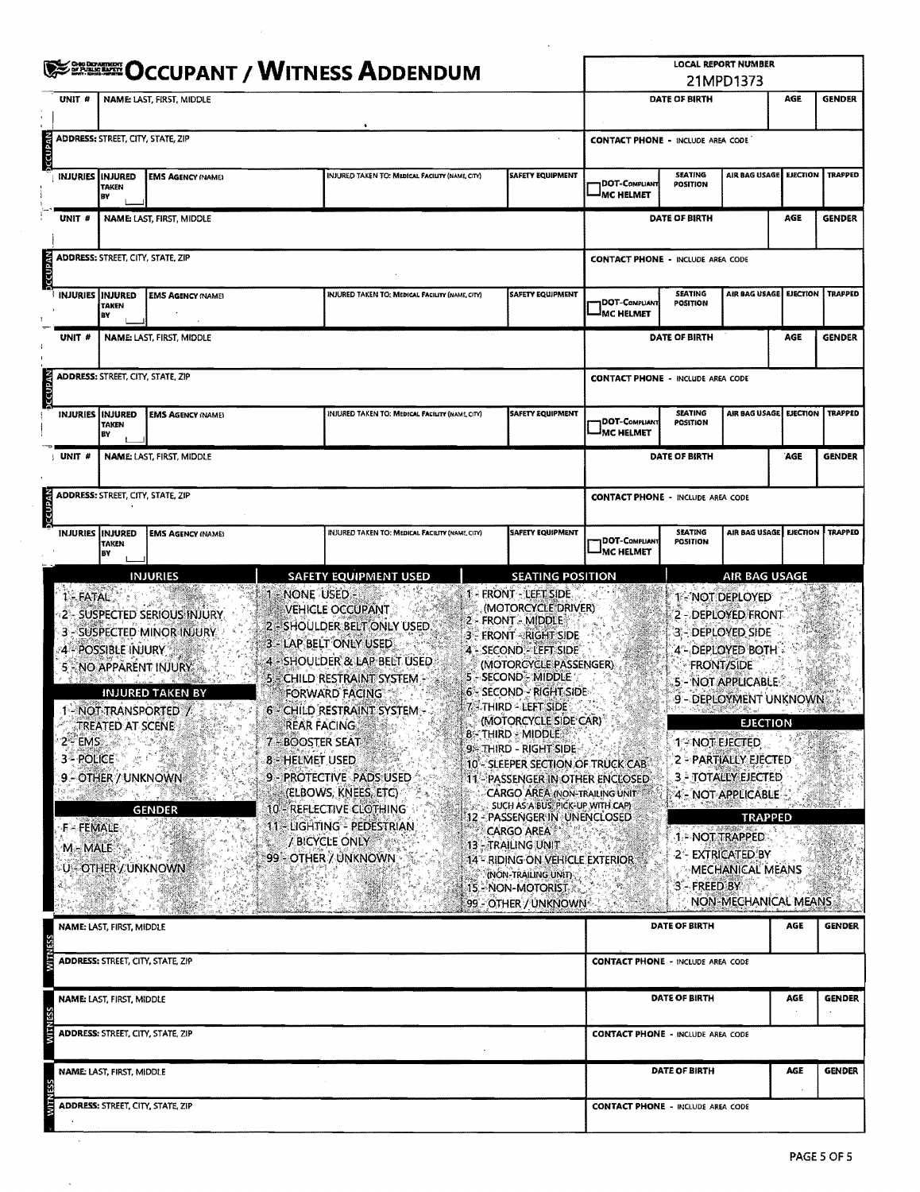|                                   |                                                                                                                                                                                                                                                                                                                                                                                                      |                                               | <b>EXEREE OCCUPANT / WITNESS ADDENDUM</b> |                                                                                                                                                                                                                                                                                                                                                                                   |                                                 |                                                                                                                                                                                                                                                                                                                                                                                                                                                                                                                                                                                                                                           |                         |                                          |                                                                                                                                                                             |                                                                                                                                                                                                                                                                                                                                                                                                                                                                                                                                                                                                                                                                                                                                                                                                                                                                                                                          |     |               |  |  |  |  |  |  |  |
|-----------------------------------|------------------------------------------------------------------------------------------------------------------------------------------------------------------------------------------------------------------------------------------------------------------------------------------------------------------------------------------------------------------------------------------------------|-----------------------------------------------|-------------------------------------------|-----------------------------------------------------------------------------------------------------------------------------------------------------------------------------------------------------------------------------------------------------------------------------------------------------------------------------------------------------------------------------------|-------------------------------------------------|-------------------------------------------------------------------------------------------------------------------------------------------------------------------------------------------------------------------------------------------------------------------------------------------------------------------------------------------------------------------------------------------------------------------------------------------------------------------------------------------------------------------------------------------------------------------------------------------------------------------------------------------|-------------------------|------------------------------------------|-----------------------------------------------------------------------------------------------------------------------------------------------------------------------------|--------------------------------------------------------------------------------------------------------------------------------------------------------------------------------------------------------------------------------------------------------------------------------------------------------------------------------------------------------------------------------------------------------------------------------------------------------------------------------------------------------------------------------------------------------------------------------------------------------------------------------------------------------------------------------------------------------------------------------------------------------------------------------------------------------------------------------------------------------------------------------------------------------------------------|-----|---------------|--|--|--|--|--|--|--|
|                                   | UNIT #                                                                                                                                                                                                                                                                                                                                                                                               |                                               | <b>NAME: LAST, FIRST, MIDDLE</b>          |                                                                                                                                                                                                                                                                                                                                                                                   |                                                 |                                                                                                                                                                                                                                                                                                                                                                                                                                                                                                                                                                                                                                           |                         |                                          | DATE OF BIRTH                                                                                                                                                               |                                                                                                                                                                                                                                                                                                                                                                                                                                                                                                                                                                                                                                                                                                                                                                                                                                                                                                                          | AGE | <b>GENDER</b> |  |  |  |  |  |  |  |
| <b>JECUPAN</b>                    |                                                                                                                                                                                                                                                                                                                                                                                                      | <b>ADDRESS: STREET, CITY, STATE, ZIP</b>      |                                           |                                                                                                                                                                                                                                                                                                                                                                                   |                                                 |                                                                                                                                                                                                                                                                                                                                                                                                                                                                                                                                                                                                                                           |                         |                                          | <b>EJECTION</b><br><b>TRAPPED</b><br>AGE<br><b>GENDER</b><br><b>EJECTION</b><br><b>TRAPPED</b><br>AGE<br><b>GENDER</b><br>TRAPPED<br>AGE<br><b>GENDER</b><br><b>TRAPPED</b> |                                                                                                                                                                                                                                                                                                                                                                                                                                                                                                                                                                                                                                                                                                                                                                                                                                                                                                                          |     |               |  |  |  |  |  |  |  |
|                                   | <b>INJURIES</b>                                                                                                                                                                                                                                                                                                                                                                                      | <b>INJURED</b><br>TAKEN<br>BY                 | <b>EMS AGENCY (NAME)</b>                  |                                                                                                                                                                                                                                                                                                                                                                                   | INJURED TAKEN TO: MEDICAL FACILITY (NAME CITY)  | <b>SAFETY EQUIPMENT</b>                                                                                                                                                                                                                                                                                                                                                                                                                                                                                                                                                                                                                   |                         |                                          | <b>SEATING</b><br>DOT-COMPLIANT<br>POSITION<br>MC HELMET                                                                                                                    |                                                                                                                                                                                                                                                                                                                                                                                                                                                                                                                                                                                                                                                                                                                                                                                                                                                                                                                          |     |               |  |  |  |  |  |  |  |
|                                   | UNIT #                                                                                                                                                                                                                                                                                                                                                                                               |                                               | NAME: LAST, FIRST, MIDDLE                 |                                                                                                                                                                                                                                                                                                                                                                                   |                                                 |                                                                                                                                                                                                                                                                                                                                                                                                                                                                                                                                                                                                                                           |                         |                                          | DATE OF BIRTH                                                                                                                                                               |                                                                                                                                                                                                                                                                                                                                                                                                                                                                                                                                                                                                                                                                                                                                                                                                                                                                                                                          |     |               |  |  |  |  |  |  |  |
| OCCUPAN                           |                                                                                                                                                                                                                                                                                                                                                                                                      | <b>ADDRESS: STREET, CITY, STATE, ZIP</b>      |                                           |                                                                                                                                                                                                                                                                                                                                                                                   |                                                 |                                                                                                                                                                                                                                                                                                                                                                                                                                                                                                                                                                                                                                           |                         |                                          |                                                                                                                                                                             |                                                                                                                                                                                                                                                                                                                                                                                                                                                                                                                                                                                                                                                                                                                                                                                                                                                                                                                          |     |               |  |  |  |  |  |  |  |
|                                   |                                                                                                                                                                                                                                                                                                                                                                                                      | <b>INJURIES INJURED</b><br><b>TAKEN</b><br>BY | <b>EMS AGENCY (NAME)</b>                  |                                                                                                                                                                                                                                                                                                                                                                                   | INJURED TAKEN TO: MEDICAL FACILITY (NAME, CITY) |                                                                                                                                                                                                                                                                                                                                                                                                                                                                                                                                                                                                                                           | <b>SAFETY EQUIPMENT</b> | DOT-COMPLIANT<br><b>MC HELMET</b>        | <b>SEATING</b><br>POSITION                                                                                                                                                  |                                                                                                                                                                                                                                                                                                                                                                                                                                                                                                                                                                                                                                                                                                                                                                                                                                                                                                                          |     |               |  |  |  |  |  |  |  |
|                                   | UNIT#                                                                                                                                                                                                                                                                                                                                                                                                | <b>NAME: LAST, FIRST, MIDDLE</b>              |                                           |                                                                                                                                                                                                                                                                                                                                                                                   |                                                 |                                                                                                                                                                                                                                                                                                                                                                                                                                                                                                                                                                                                                                           |                         |                                          | <b>DATE OF BIRTH</b>                                                                                                                                                        |                                                                                                                                                                                                                                                                                                                                                                                                                                                                                                                                                                                                                                                                                                                                                                                                                                                                                                                          |     |               |  |  |  |  |  |  |  |
| <b>DECUPAN</b>                    |                                                                                                                                                                                                                                                                                                                                                                                                      | ADDRESS: STREET, CITY, STATE, ZIP             |                                           |                                                                                                                                                                                                                                                                                                                                                                                   |                                                 |                                                                                                                                                                                                                                                                                                                                                                                                                                                                                                                                                                                                                                           |                         |                                          |                                                                                                                                                                             | <b>LOCAL REPORT NUMBER</b><br>21MPD1373<br><b>CONTACT PHONE - INCLUDE AREA CODE</b><br>AIR BAG USAGE<br><b>CONTACT PHONE - INCLUDE AREA CODE</b><br>AIR BAG USAGE<br><b>CONTACT PHONE - INCLUDE AREA CODE</b><br>AIR BAG USAGE EJECTION<br><b>CONTACT PHONE - INCLUDE AREA CODE</b><br>AIR BAG USAGE   EJECTION<br>AIR BAG USAGE<br><b>T-NOT DEPLOYED</b><br>2 - DEPLOYED FRONT<br>3 - DEPLOYED SIDE<br>4 - DEPLOYED BOTH -<br><b>FRONT/SIDE</b><br>5 - NOT APPLICABLE<br>9 - DEPLOYMENT UNKNOWN<br><b>EJECTION</b><br>1 - NOT EJECTED<br>2 - PARTIALLY EJECTED<br><b>3 - TOTALLY EJECTED</b><br>4 - NOT-APPLICABLE<br><b>TRAPPED</b><br>1 - NOT TRAPPED:<br>2 - EXTRICATED BY<br><b>MECHANICAL MEANS</b><br>3 - FREED BY<br>NON-MECHANICAL MEANS<br><b>AGE</b><br><b>GENDER</b><br><b>CONTACT PHONE - INCLUDE AREA CODE</b><br>AGE<br><b>GENDER</b><br><b>CONTACT PHONE - INCLUDE AREA CODE</b><br><b>GENDER</b><br>AGE |     |               |  |  |  |  |  |  |  |
|                                   | INJURIES INJURED<br><b>EMS AGENCY (NAME)</b><br>TAKEN<br>BY                                                                                                                                                                                                                                                                                                                                          |                                               |                                           |                                                                                                                                                                                                                                                                                                                                                                                   | INJURED TAKEN TO: MEDICAL FACILITY (NAME, CITY) |                                                                                                                                                                                                                                                                                                                                                                                                                                                                                                                                                                                                                                           | SAFETY EQUIPMENT        | DOT-COMPLIANT<br>MC HELMET               | <b>SEATING</b><br><b>POSITION</b>                                                                                                                                           |                                                                                                                                                                                                                                                                                                                                                                                                                                                                                                                                                                                                                                                                                                                                                                                                                                                                                                                          |     |               |  |  |  |  |  |  |  |
|                                   | UNIT #                                                                                                                                                                                                                                                                                                                                                                                               | <b>NAME: LAST, FIRST, MIDDLE</b>              |                                           |                                                                                                                                                                                                                                                                                                                                                                                   |                                                 |                                                                                                                                                                                                                                                                                                                                                                                                                                                                                                                                                                                                                                           |                         |                                          | DATE OF BIRTH                                                                                                                                                               |                                                                                                                                                                                                                                                                                                                                                                                                                                                                                                                                                                                                                                                                                                                                                                                                                                                                                                                          |     |               |  |  |  |  |  |  |  |
| <b>JCCUPAN</b>                    |                                                                                                                                                                                                                                                                                                                                                                                                      | <b>ADDRESS: STREET, CITY, STATE, ZIP</b>      |                                           |                                                                                                                                                                                                                                                                                                                                                                                   |                                                 |                                                                                                                                                                                                                                                                                                                                                                                                                                                                                                                                                                                                                                           |                         |                                          |                                                                                                                                                                             |                                                                                                                                                                                                                                                                                                                                                                                                                                                                                                                                                                                                                                                                                                                                                                                                                                                                                                                          |     |               |  |  |  |  |  |  |  |
|                                   |                                                                                                                                                                                                                                                                                                                                                                                                      | INJURIES INJURED<br>TAKEN<br>BY               | <b>EMS AGENCY (NAME)</b>                  |                                                                                                                                                                                                                                                                                                                                                                                   | INJURED TAKEN TO: MEDICAL FACILITY (NAME, CITY) |                                                                                                                                                                                                                                                                                                                                                                                                                                                                                                                                                                                                                                           | <b>SAFETY EQUIPMENT</b> | DOT-COMPLIANT<br><b>IMC HELMET</b>       | <b>SEATING</b><br>POSITION                                                                                                                                                  |                                                                                                                                                                                                                                                                                                                                                                                                                                                                                                                                                                                                                                                                                                                                                                                                                                                                                                                          |     |               |  |  |  |  |  |  |  |
|                                   |                                                                                                                                                                                                                                                                                                                                                                                                      |                                               | <b>INJURIES</b>                           |                                                                                                                                                                                                                                                                                                                                                                                   | <b>SAFETY EQUIPMENT USED</b>                    |                                                                                                                                                                                                                                                                                                                                                                                                                                                                                                                                                                                                                                           | <b>SEATING POSITION</b> |                                          |                                                                                                                                                                             |                                                                                                                                                                                                                                                                                                                                                                                                                                                                                                                                                                                                                                                                                                                                                                                                                                                                                                                          |     |               |  |  |  |  |  |  |  |
|                                   | 1 = NONE USED =<br>1 - FATAL<br>2 - SUSPECTED SERIOUS INJURY<br>3 - SUSPECTED MINOR INJURY<br>4 - POSSIBLE INJURY<br>5 - NO APPARENT INJURY.<br><b>INJURED TAKEN BY</b><br>1-INOT-TRANSPORTED /<br><b>TREATED AT SCENE</b><br>$2 - EMS$<br>7 – BOOSTER SEAT<br>3 <sup>2</sup> POLICE<br>8 - HELMET USED.<br>9-OTHER / UNKNOWN<br><b>GENDER</b><br><b>F-FEMALE</b><br>M - MALE<br>U - OTHER / UNKNOWN |                                               |                                           | <b>VEHICLE OCCUPANT</b><br>2 - SHOULDER BELT ONLY USED<br>3 - LAP BELT ONLY USED<br>4 - SHOULDER & LAP BELT USED<br>5 - CHILD RESTRAINT SYSTEM.<br>FORWARD FACING<br>6 - CHILD RESTRAINT SYSTEM -<br><b>REAR FACING</b><br>9 - PROTECTIVE PADS USED<br>(ELBOWS, KNEES, ETC)<br>10 - REFLECTIVE CLOTHING<br>11 - LIGHTING - PEDESTRIAN<br>/ BICYCLE ONLY<br>99 - OTHER / UNKNOWN - |                                                 | 1 - FRONT - LEFT SIDE<br>(MOTORCYCLE DRIVER)<br>2 - FRONT - MIDDLE<br>3 - FRONT - RIGHT SIDE<br>4 - SECOND - LEFT SIDE<br>(MOTORCYCLE PASSENGER)<br>5 - SECOND - MIDDLE<br>6 - SECOND - RIGHT SIDE<br>ZELTHIRD = LEFT SIDE<br>(MOTORCYCLE SIDE CAR)<br>8 - THIRD - MIDDLE<br>9- THIRD - RIGHT SIDE<br>10 - SLEEPER SECTION OF TRUCK CAB<br>11 - PASSENGER IN OTHER ENCLOSED<br><b>CARGO AREA (NON-TRAILING UNIT)</b><br>SUCH AS A BUS, PICK-UP WITH CAP)<br>12 - PASSENGER IN UNENCLOSED<br><b>CARGO AREA</b><br>13 - TRAILING UNIT<br>14* RIDING ON VEHICLE EXTERIOR<br>(NON-TRAILING UNIT)<br>15 - NON-MOTORIST<br>99 - OTHER / UNKNOWN |                         |                                          |                                                                                                                                                                             |                                                                                                                                                                                                                                                                                                                                                                                                                                                                                                                                                                                                                                                                                                                                                                                                                                                                                                                          |     |               |  |  |  |  |  |  |  |
|                                   |                                                                                                                                                                                                                                                                                                                                                                                                      | <b>NAME: LAST, FIRST, MIDDLE</b>              |                                           |                                                                                                                                                                                                                                                                                                                                                                                   |                                                 |                                                                                                                                                                                                                                                                                                                                                                                                                                                                                                                                                                                                                                           |                         |                                          | DATE OF BIRTH                                                                                                                                                               |                                                                                                                                                                                                                                                                                                                                                                                                                                                                                                                                                                                                                                                                                                                                                                                                                                                                                                                          |     |               |  |  |  |  |  |  |  |
|                                   | <b>ADDRESS: STREET, CITY, STATE, ZIP</b>                                                                                                                                                                                                                                                                                                                                                             |                                               |                                           |                                                                                                                                                                                                                                                                                                                                                                                   |                                                 |                                                                                                                                                                                                                                                                                                                                                                                                                                                                                                                                                                                                                                           |                         |                                          |                                                                                                                                                                             |                                                                                                                                                                                                                                                                                                                                                                                                                                                                                                                                                                                                                                                                                                                                                                                                                                                                                                                          |     |               |  |  |  |  |  |  |  |
|                                   | <b>NAME: LAST, FIRST, MIDDLE</b>                                                                                                                                                                                                                                                                                                                                                                     |                                               |                                           |                                                                                                                                                                                                                                                                                                                                                                                   |                                                 |                                                                                                                                                                                                                                                                                                                                                                                                                                                                                                                                                                                                                                           |                         |                                          | DATE OF BIRTH                                                                                                                                                               |                                                                                                                                                                                                                                                                                                                                                                                                                                                                                                                                                                                                                                                                                                                                                                                                                                                                                                                          |     |               |  |  |  |  |  |  |  |
|                                   |                                                                                                                                                                                                                                                                                                                                                                                                      |                                               | ADDRESS: STREET, CITY, STATE, ZIP         |                                                                                                                                                                                                                                                                                                                                                                                   |                                                 |                                                                                                                                                                                                                                                                                                                                                                                                                                                                                                                                                                                                                                           |                         |                                          |                                                                                                                                                                             |                                                                                                                                                                                                                                                                                                                                                                                                                                                                                                                                                                                                                                                                                                                                                                                                                                                                                                                          |     |               |  |  |  |  |  |  |  |
|                                   |                                                                                                                                                                                                                                                                                                                                                                                                      | NAME: LAST, FIRST, MIDDLE                     |                                           |                                                                                                                                                                                                                                                                                                                                                                                   |                                                 |                                                                                                                                                                                                                                                                                                                                                                                                                                                                                                                                                                                                                                           |                         |                                          | DATE OF BIRTH                                                                                                                                                               |                                                                                                                                                                                                                                                                                                                                                                                                                                                                                                                                                                                                                                                                                                                                                                                                                                                                                                                          |     |               |  |  |  |  |  |  |  |
| ADDRESS: STREET, CITY, STATE, ZIP |                                                                                                                                                                                                                                                                                                                                                                                                      |                                               |                                           |                                                                                                                                                                                                                                                                                                                                                                                   |                                                 |                                                                                                                                                                                                                                                                                                                                                                                                                                                                                                                                                                                                                                           |                         | <b>CONTACT PHONE - INCLUDE AREA CODE</b> |                                                                                                                                                                             |                                                                                                                                                                                                                                                                                                                                                                                                                                                                                                                                                                                                                                                                                                                                                                                                                                                                                                                          |     |               |  |  |  |  |  |  |  |

 $\overline{\phantom{a}}$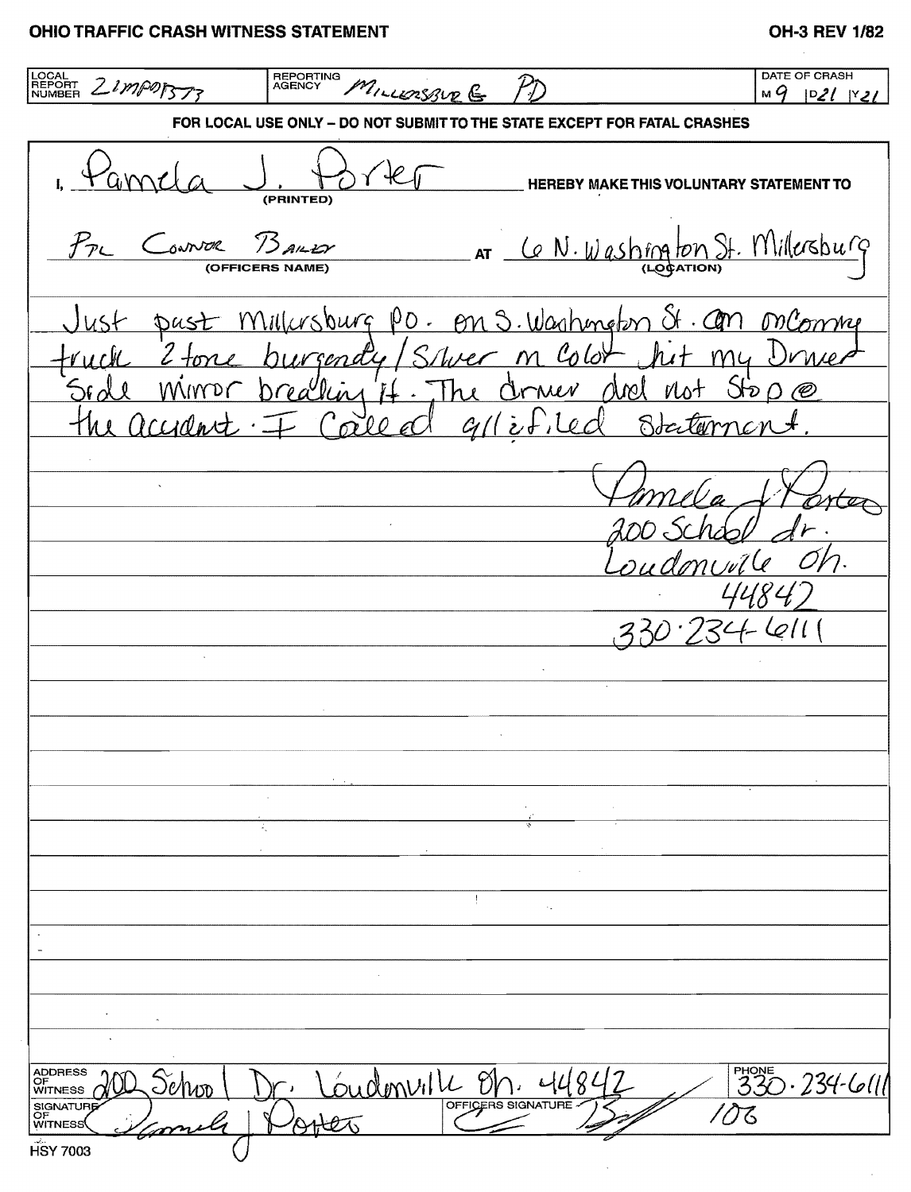## **OHIO TRAFFIC CRASH WITNESS STATEMENT**

## OH-3 REV 1/82

LOCAL<br>REPORT 21MP07373 REPORTING<br>AGENCY DATE OF CRASH MILLERSBUR G  $M9$   $D21$   $N21$ FOR LOCAL USE ONLY - DO NOT SUBMIT TO THE STATE EXCEPT FOR FATAL CRASHES  $E$ **HEREBY MAKE THIS VOLUNTARY STATEMENT TO** (PRINTED) AT Ce N. Washington St. Millersburg  $B$ ALLY Convor **COFFICERS** Millursburg PD. On S. Washington St. Con on Comme  $Just$ pust  $c$  2. burgendy Sluer m Color  $M_4$  $S_{20}$ - W llin 17 lnh Orner accident لمرخ Socita  $\Omega$  $\mathscr{C}$ ഹ് 0 0 734-411  $\bar{z}$  $\sim$  $\ddot{\phantom{0}}$ - Loudonville on. 4480 ADDRESS<br>OF<br>WITNESS  $330.234 - 611$ Jenso SIGNATURE 103 **WITNESS HSY 7003**